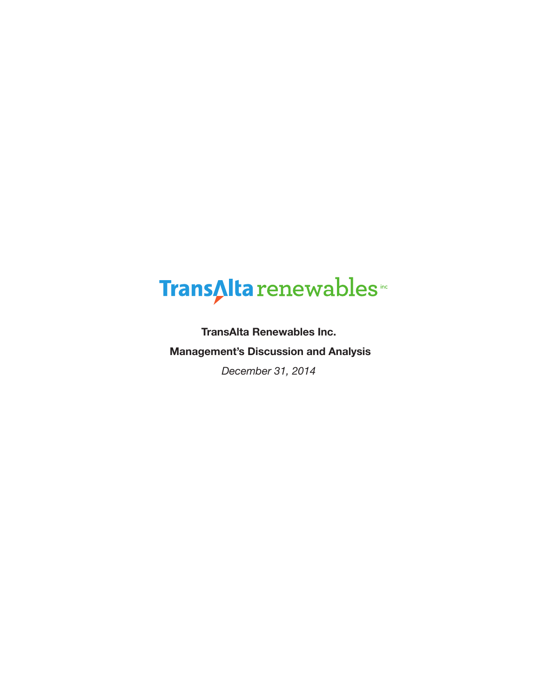# TransAlta renewables

**TransAlta Renewables Inc. Management's Discussion and Analysis**

*December 31, 2014*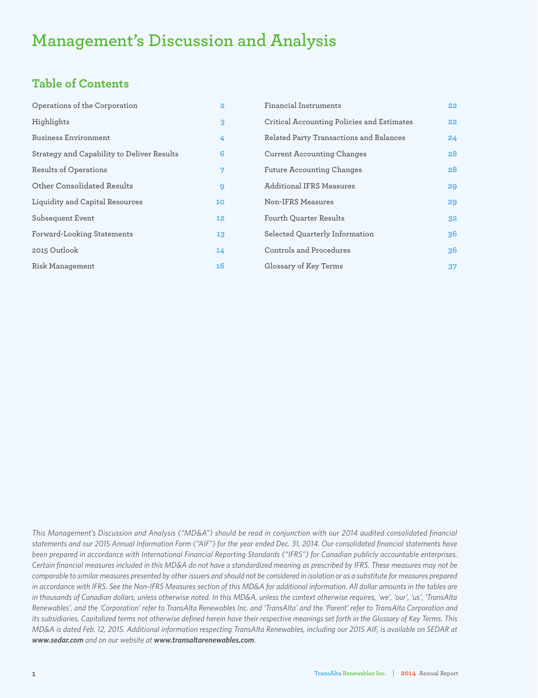# **Management's Discussion and Analysis**

### **Table of Contents**

| Operations of the Corporation              | $\mathbf{2}$ | Financial Instruments                      | 22 <sub>2</sub> |
|--------------------------------------------|--------------|--------------------------------------------|-----------------|
| Highlights                                 | 3            | Critical Accounting Policies and Estimates | 22              |
| <b>Business Environment</b>                | 4            | Related Party Transactions and Balances    | 24              |
| Strategy and Capability to Deliver Results | 6            | <b>Current Accounting Changes</b>          | 28              |
| Results of Operations                      | 7            | <b>Future Accounting Changes</b>           | 28              |
| Other Consolidated Results                 | 9            | <b>Additional IFRS Measures</b>            | 29              |
| Liquidity and Capital Resources            | 10           | Non-IFRS Measures                          | 29              |
| Subsequent Event                           | 12           | <b>Fourth Quarter Results</b>              | 32              |
| <b>Forward-Looking Statements</b>          | 13           | Selected Quarterly Information             | 36              |
| 2015 Outlook                               | 14           | Controls and Procedures                    | 36              |
| Risk Management                            | 16           | Glossary of Key Terms                      | 37              |

*This Management's Discussion and Analysis ("MD&A") should be read in conjunction with our 2014 audited consolidated financial statements and our 2015 Annual Information Form ("AIF") for the year ended Dec. 31, 2014. Our consolidated financial statements have been prepared in accordance with International Financial Reporting Standards ("IFRS") for Canadian publicly accountable enterprises. Certain financial measures included in this MD&A do not have a standardized meaning as prescribed by IFRS. These measures may not be comparable to similar measures presented by other issuers and should not be considered in isolation or as a substitute for measures prepared in accordance with IFRS. See the Non-IFRS Measures section of this MD&A for additional information. All dollar amounts in the tables are in thousands of Canadian dollars, unless otherwise noted. In this MD&A, unless the context otherwise requires, 'we', 'our', 'us', 'TransAlta Renewables', and the 'Corporation' refer to TransAlta Renewables Inc. and 'TransAlta' and the 'Parent' refer to TransAlta Corporation and*  its subsidiaries. Capitalized terms not otherwise defined herein have their respective meanings set forth in the Glossary of Key Terms. This *MD&A is dated Feb. 12, 2015. Additional information respecting TransAlta Renewables, including our 2015 AIF, is available on SEDAR at www.sedar.com and on our website at www.transaltarenewables.com.*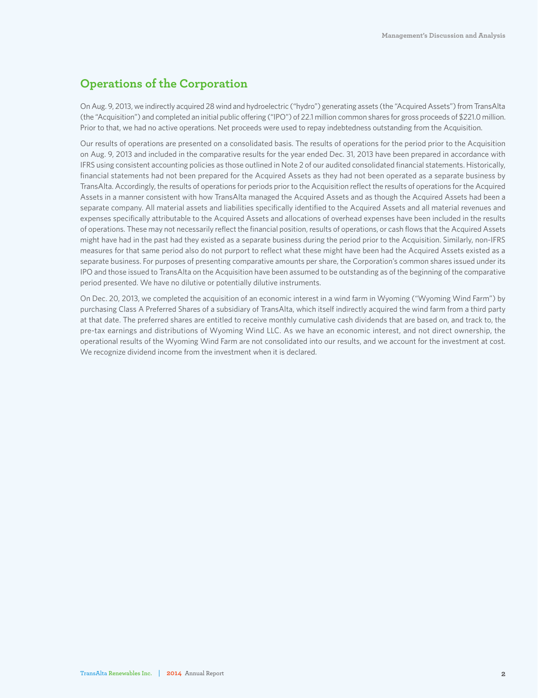### **Operations of the Corporation**

On Aug. 9, 2013, we indirectly acquired 28 wind and hydroelectric ("hydro") generating assets (the "Acquired Assets") from TransAlta (the "Acquisition") and completed an initial public offering ("IPO") of 22.1 million common shares for gross proceeds of \$221.0 million. Prior to that, we had no active operations. Net proceeds were used to repay indebtedness outstanding from the Acquisition.

Our results of operations are presented on a consolidated basis. The results of operations for the period prior to the Acquisition on Aug. 9, 2013 and included in the comparative results for the year ended Dec. 31, 2013 have been prepared in accordance with IFRS using consistent accounting policies as those outlined in Note 2 of our audited consolidated financial statements. Historically, financial statements had not been prepared for the Acquired Assets as they had not been operated as a separate business by TransAlta. Accordingly, the results of operations for periods prior to the Acquisition reflect the results of operations for the Acquired Assets in a manner consistent with how TransAlta managed the Acquired Assets and as though the Acquired Assets had been a separate company. All material assets and liabilities specifically identified to the Acquired Assets and all material revenues and expenses specifically attributable to the Acquired Assets and allocations of overhead expenses have been included in the results of operations. These may not necessarily reflect the financial position, results of operations, or cash flows that the Acquired Assets might have had in the past had they existed as a separate business during the period prior to the Acquisition. Similarly, non-IFRS measures for that same period also do not purport to reflect what these might have been had the Acquired Assets existed as a separate business. For purposes of presenting comparative amounts per share, the Corporation's common shares issued under its IPO and those issued to TransAlta on the Acquisition have been assumed to be outstanding as of the beginning of the comparative period presented. We have no dilutive or potentially dilutive instruments.

On Dec. 20, 2013, we completed the acquisition of an economic interest in a wind farm in Wyoming ("Wyoming Wind Farm") by purchasing Class A Preferred Shares of a subsidiary of TransAlta, which itself indirectly acquired the wind farm from a third party at that date. The preferred shares are entitled to receive monthly cumulative cash dividends that are based on, and track to, the pre-tax earnings and distributions of Wyoming Wind LLC. As we have an economic interest, and not direct ownership, the operational results of the Wyoming Wind Farm are not consolidated into our results, and we account for the investment at cost. We recognize dividend income from the investment when it is declared.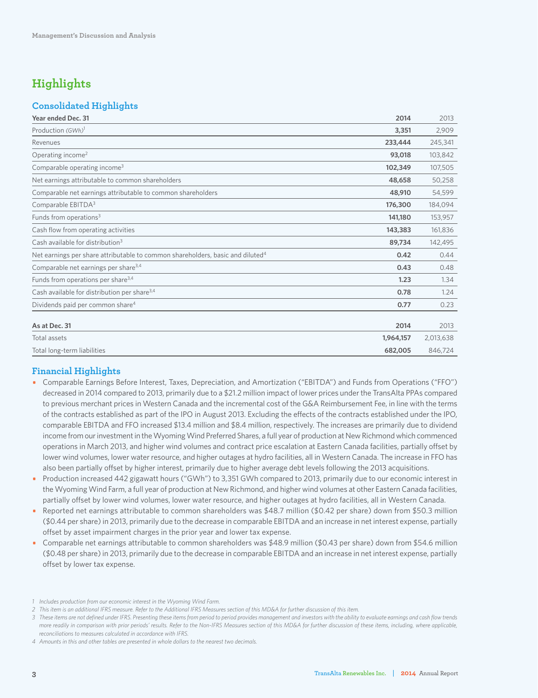### **Highlights**

### **Consolidated Highlights**

| Year ended Dec. 31                                                                         | 2014      | 2013      |
|--------------------------------------------------------------------------------------------|-----------|-----------|
| Production (GWh) <sup>1</sup>                                                              | 3,351     | 2,909     |
| Revenues                                                                                   | 233,444   | 245,341   |
| Operating income <sup>2</sup>                                                              | 93,018    | 103,842   |
| Comparable operating income <sup>3</sup>                                                   | 102,349   | 107,505   |
| Net earnings attributable to common shareholders                                           | 48,658    | 50,258    |
| Comparable net earnings attributable to common shareholders                                | 48,910    | 54,599    |
| Comparable EBITDA <sup>3</sup>                                                             | 176,300   | 184,094   |
| Funds from operations <sup>3</sup>                                                         | 141,180   | 153,957   |
| Cash flow from operating activities                                                        | 143,383   | 161,836   |
| Cash available for distribution <sup>3</sup>                                               | 89,734    | 142,495   |
| Net earnings per share attributable to common shareholders, basic and diluted <sup>4</sup> | 0.42      | 0.44      |
| Comparable net earnings per share <sup>3,4</sup>                                           | 0.43      | 0.48      |
| Funds from operations per share <sup>3,4</sup>                                             | 1.23      | 1.34      |
| Cash available for distribution per share <sup>3,4</sup>                                   | 0.78      | 1.24      |
| Dividends paid per common share <sup>4</sup>                                               | 0.77      | 0.23      |
|                                                                                            |           |           |
| As at Dec. 31                                                                              | 2014      | 2013      |
| Total assets                                                                               | 1,964,157 | 2,013,638 |
| Total long-term liabilities                                                                | 682,005   | 846,724   |

### **Financial Highlights**

- Comparable Earnings Before Interest, Taxes, Depreciation, and Amortization ("EBITDA") and Funds from Operations ("FFO") decreased in 2014 compared to 2013, primarily due to a \$21.2 million impact of lower prices under the TransAlta PPAs compared to previous merchant prices in Western Canada and the incremental cost of the G&A Reimbursement Fee, in line with the terms of the contracts established as part of the IPO in August 2013. Excluding the effects of the contracts established under the IPO, comparable EBITDA and FFO increased \$13.4 million and \$8.4 million, respectively. The increases are primarily due to dividend income from our investment in the Wyoming Wind Preferred Shares, a full year of production at New Richmond which commenced operations in March 2013, and higher wind volumes and contract price escalation at Eastern Canada facilities, partially offset by lower wind volumes, lower water resource, and higher outages at hydro facilities, all in Western Canada. The increase in FFO has also been partially offset by higher interest, primarily due to higher average debt levels following the 2013 acquisitions.
- Production increased 442 gigawatt hours ("GWh") to 3,351 GWh compared to 2013, primarily due to our economic interest in the Wyoming Wind Farm, a full year of production at New Richmond, and higher wind volumes at other Eastern Canada facilities, partially offset by lower wind volumes, lower water resource, and higher outages at hydro facilities, all in Western Canada.
- Reported net earnings attributable to common shareholders was \$48.7 million (\$0.42 per share) down from \$50.3 million (\$0.44 per share) in 2013, primarily due to the decrease in comparable EBITDA and an increase in net interest expense, partially offset by asset impairment charges in the prior year and lower tax expense.
- Comparable net earnings attributable to common shareholders was \$48.9 million (\$0.43 per share) down from \$54.6 million (\$0.48 per share) in 2013, primarily due to the decrease in comparable EBITDA and an increase in net interest expense, partially offset by lower tax expense.
- *1 Includes production from our economic interest in the Wyoming Wind Farm.*

*<sup>2</sup> This item is an additional IFRS measure. Refer to the Additional IFRS Measures section of this MD&A for further discussion of this item.*

*<sup>3</sup> These items are not defined under IFRS. Presenting these items from period to period provides management and investors with the ability to evaluate earnings and cash flow trends more readily in comparison with prior periods' results. Refer to the Non-IFRS Measures section of this MD&A for further discussion of these items, including, where applicable, reconciliations to measures calculated in accordance with IFRS.*

*<sup>4</sup> Amounts in this and other tables are presented in whole dollars to the nearest two decimals.*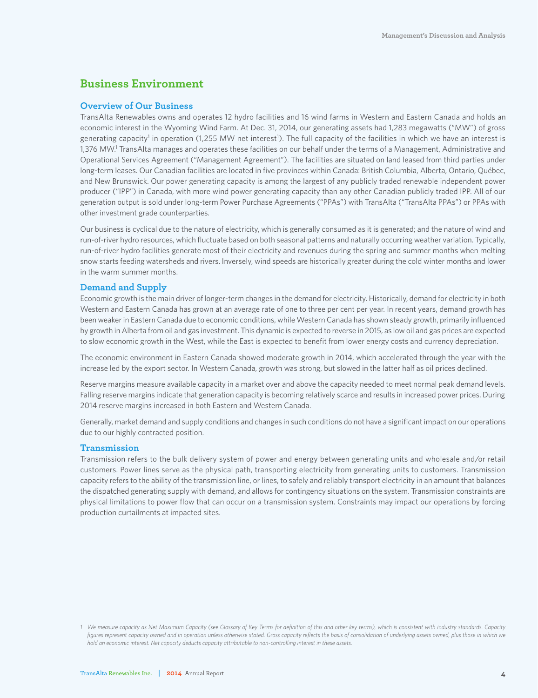### **Business Environment**

### **Overview of Our Business**

TransAlta Renewables owns and operates 12 hydro facilities and 16 wind farms in Western and Eastern Canada and holds an economic interest in the Wyoming Wind Farm. At Dec. 31, 2014, our generating assets had 1,283 megawatts ("MW") of gross generating capacity<sup>1</sup> in operation (1,255 MW net interest<sup>1</sup>). The full capacity of the facilities in which we have an interest is 1,376 MW.1 TransAlta manages and operates these facilities on our behalf under the terms of a Management, Administrative and Operational Services Agreement ("Management Agreement"). The facilities are situated on land leased from third parties under long-term leases. Our Canadian facilities are located in five provinces within Canada: British Columbia, Alberta, Ontario, Québec, and New Brunswick. Our power generating capacity is among the largest of any publicly traded renewable independent power producer ("IPP") in Canada, with more wind power generating capacity than any other Canadian publicly traded IPP. All of our generation output is sold under long-term Power Purchase Agreements ("PPAs") with TransAlta ("TransAlta PPAs") or PPAs with other investment grade counterparties.

Our business is cyclical due to the nature of electricity, which is generally consumed as it is generated; and the nature of wind and run-of-river hydro resources, which fluctuate based on both seasonal patterns and naturally occurring weather variation. Typically, run-of-river hydro facilities generate most of their electricity and revenues during the spring and summer months when melting snow starts feeding watersheds and rivers. Inversely, wind speeds are historically greater during the cold winter months and lower in the warm summer months.

### **Demand and Supply**

Economic growth is the main driver of longer-term changes in the demand for electricity. Historically, demand for electricity in both Western and Eastern Canada has grown at an average rate of one to three per cent per year. In recent years, demand growth has been weaker in Eastern Canada due to economic conditions, while Western Canada has shown steady growth, primarily influenced by growth in Alberta from oil and gas investment. This dynamic is expected to reverse in 2015, as low oil and gas prices are expected to slow economic growth in the West, while the East is expected to benefit from lower energy costs and currency depreciation.

The economic environment in Eastern Canada showed moderate growth in 2014, which accelerated through the year with the increase led by the export sector. In Western Canada, growth was strong, but slowed in the latter half as oil prices declined.

Reserve margins measure available capacity in a market over and above the capacity needed to meet normal peak demand levels. Falling reserve margins indicate that generation capacity is becoming relatively scarce and results in increased power prices. During 2014 reserve margins increased in both Eastern and Western Canada.

Generally, market demand and supply conditions and changes in such conditions do not have a significant impact on our operations due to our highly contracted position.

### **Transmission**

Transmission refers to the bulk delivery system of power and energy between generating units and wholesale and/or retail customers. Power lines serve as the physical path, transporting electricity from generating units to customers. Transmission capacity refers to the ability of the transmission line, or lines, to safely and reliably transport electricity in an amount that balances the dispatched generating supply with demand, and allows for contingency situations on the system. Transmission constraints are physical limitations to power flow that can occur on a transmission system. Constraints may impact our operations by forcing production curtailments at impacted sites.

*<sup>1</sup> We measure capacity as Net Maximum Capacity (see Glossary of Key Terms for definition of this and other key terms), which is consistent with industry standards. Capacity figures represent capacity owned and in operation unless otherwise stated. Gross capacity reflects the basis of consolidation of underlying assets owned, plus those in which we hold an economic interest. Net capacity deducts capacity attributable to non-controlling interest in these assets.*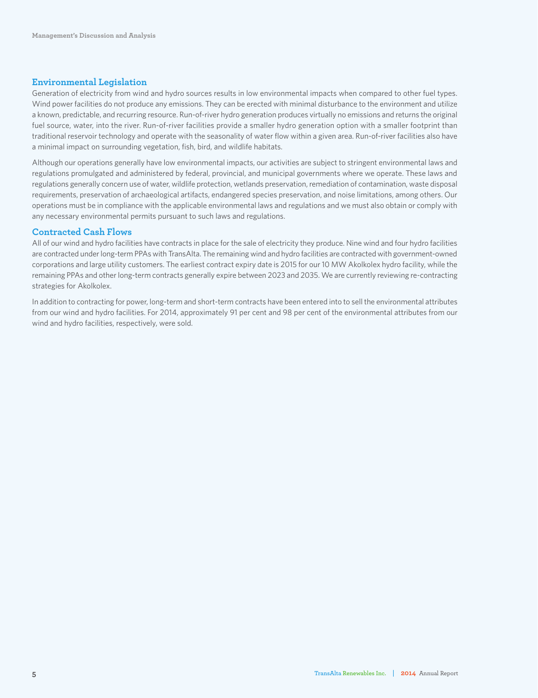### **Environmental Legislation**

Generation of electricity from wind and hydro sources results in low environmental impacts when compared to other fuel types. Wind power facilities do not produce any emissions. They can be erected with minimal disturbance to the environment and utilize a known, predictable, and recurring resource. Run-of-river hydro generation produces virtually no emissions and returns the original fuel source, water, into the river. Run-of-river facilities provide a smaller hydro generation option with a smaller footprint than traditional reservoir technology and operate with the seasonality of water flow within a given area. Run-of-river facilities also have a minimal impact on surrounding vegetation, fish, bird, and wildlife habitats.

Although our operations generally have low environmental impacts, our activities are subject to stringent environmental laws and regulations promulgated and administered by federal, provincial, and municipal governments where we operate. These laws and regulations generally concern use of water, wildlife protection, wetlands preservation, remediation of contamination, waste disposal requirements, preservation of archaeological artifacts, endangered species preservation, and noise limitations, among others. Our operations must be in compliance with the applicable environmental laws and regulations and we must also obtain or comply with any necessary environmental permits pursuant to such laws and regulations.

### **Contracted Cash Flows**

All of our wind and hydro facilities have contracts in place for the sale of electricity they produce. Nine wind and four hydro facilities are contracted under long-term PPAs with TransAlta. The remaining wind and hydro facilities are contracted with government-owned corporations and large utility customers. The earliest contract expiry date is 2015 for our 10 MW Akolkolex hydro facility, while the remaining PPAs and other long-term contracts generally expire between 2023 and 2035. We are currently reviewing re-contracting strategies for Akolkolex.

In addition to contracting for power, long-term and short-term contracts have been entered into to sell the environmental attributes from our wind and hydro facilities. For 2014, approximately 91 per cent and 98 per cent of the environmental attributes from our wind and hydro facilities, respectively, were sold.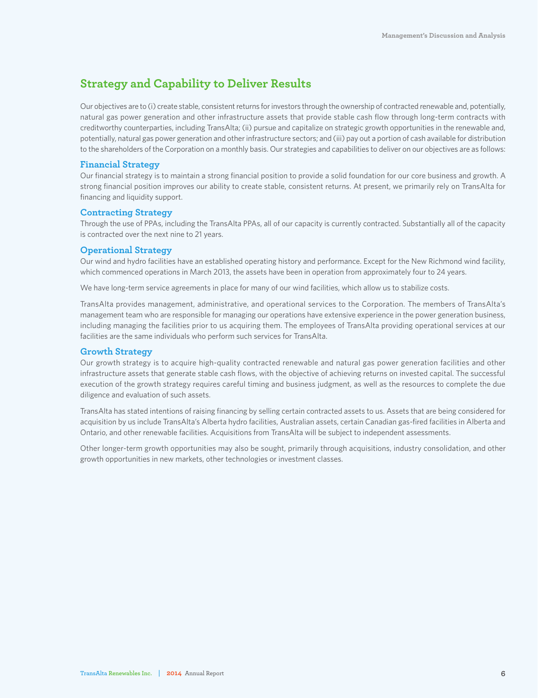### **Strategy and Capability to Deliver Results**

Our objectives are to (i) create stable, consistent returns for investors through the ownership of contracted renewable and, potentially, natural gas power generation and other infrastructure assets that provide stable cash flow through long-term contracts with creditworthy counterparties, including TransAlta; (ii) pursue and capitalize on strategic growth opportunities in the renewable and, potentially, natural gas power generation and other infrastructure sectors; and (iii) pay out a portion of cash available for distribution to the shareholders of the Corporation on a monthly basis. Our strategies and capabilities to deliver on our objectives are as follows:

### **Financial Strategy**

Our financial strategy is to maintain a strong financial position to provide a solid foundation for our core business and growth. A strong financial position improves our ability to create stable, consistent returns. At present, we primarily rely on TransAlta for financing and liquidity support.

### **Contracting Strategy**

Through the use of PPAs, including the TransAlta PPAs, all of our capacity is currently contracted. Substantially all of the capacity is contracted over the next nine to 21 years.

### **Operational Strategy**

Our wind and hydro facilities have an established operating history and performance. Except for the New Richmond wind facility, which commenced operations in March 2013, the assets have been in operation from approximately four to 24 years.

We have long-term service agreements in place for many of our wind facilities, which allow us to stabilize costs.

TransAlta provides management, administrative, and operational services to the Corporation. The members of TransAlta's management team who are responsible for managing our operations have extensive experience in the power generation business, including managing the facilities prior to us acquiring them. The employees of TransAlta providing operational services at our facilities are the same individuals who perform such services for TransAlta.

### **Growth Strategy**

Our growth strategy is to acquire high-quality contracted renewable and natural gas power generation facilities and other infrastructure assets that generate stable cash flows, with the objective of achieving returns on invested capital. The successful execution of the growth strategy requires careful timing and business judgment, as well as the resources to complete the due diligence and evaluation of such assets.

TransAlta has stated intentions of raising financing by selling certain contracted assets to us. Assets that are being considered for acquisition by us include TransAlta's Alberta hydro facilities, Australian assets, certain Canadian gas-fired facilities in Alberta and Ontario, and other renewable facilities. Acquisitions from TransAlta will be subject to independent assessments.

Other longer-term growth opportunities may also be sought, primarily through acquisitions, industry consolidation, and other growth opportunities in new markets, other technologies or investment classes.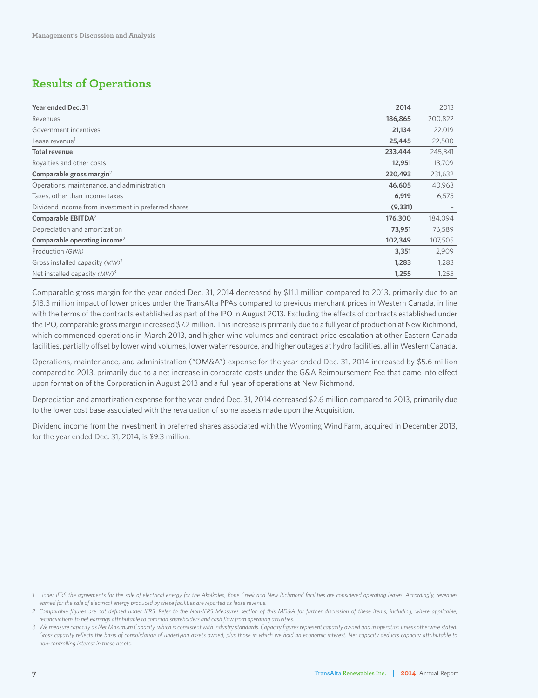### **Results of Operations**

| Year ended Dec. 31                                  | 2014     | 2013    |
|-----------------------------------------------------|----------|---------|
| Revenues                                            | 186,865  | 200,822 |
| Government incentives                               | 21,134   | 22,019  |
| Lease revenue <sup>1</sup>                          | 25,445   | 22,500  |
| <b>Total revenue</b>                                | 233,444  | 245,341 |
| Royalties and other costs                           | 12,951   | 13,709  |
| Comparable gross margin <sup>2</sup>                | 220,493  | 231,632 |
| Operations, maintenance, and administration         | 46,605   | 40,963  |
| Taxes, other than income taxes                      | 6,919    | 6,575   |
| Dividend income from investment in preferred shares | (9, 331) |         |
| Comparable EBITDA <sup>2</sup>                      | 176,300  | 184,094 |
| Depreciation and amortization                       | 73,951   | 76,589  |
| Comparable operating income <sup>2</sup>            | 102,349  | 107,505 |
| Production (GWh)                                    | 3,351    | 2,909   |
| Gross installed capacity (MW) <sup>3</sup>          | 1,283    | 1,283   |
| Net installed capacity $(MW)^3$                     | 1,255    | 1,255   |

Comparable gross margin for the year ended Dec. 31, 2014 decreased by \$11.1 million compared to 2013, primarily due to an \$18.3 million impact of lower prices under the TransAlta PPAs compared to previous merchant prices in Western Canada, in line with the terms of the contracts established as part of the IPO in August 2013. Excluding the effects of contracts established under the IPO, comparable gross margin increased \$7.2 million. This increase is primarily due to a full year of production at New Richmond, which commenced operations in March 2013, and higher wind volumes and contract price escalation at other Eastern Canada facilities, partially offset by lower wind volumes, lower water resource, and higher outages at hydro facilities, all in Western Canada.

Operations, maintenance, and administration ("OM&A") expense for the year ended Dec. 31, 2014 increased by \$5.6 million compared to 2013, primarily due to a net increase in corporate costs under the G&A Reimbursement Fee that came into effect upon formation of the Corporation in August 2013 and a full year of operations at New Richmond.

Depreciation and amortization expense for the year ended Dec. 31, 2014 decreased \$2.6 million compared to 2013, primarily due to the lower cost base associated with the revaluation of some assets made upon the Acquisition.

Dividend income from the investment in preferred shares associated with the Wyoming Wind Farm, acquired in December 2013, for the year ended Dec. 31, 2014, is \$9.3 million.

*<sup>1</sup> Under IFRS the agreements for the sale of electrical energy for the Akolkolex, Bone Creek and New Richmond facilities are considered operating leases. Accordingly, revenues earned for the sale of electrical energy produced by these facilities are reported as lease revenue.*

*<sup>2</sup> Comparable figures are not defined under IFRS. Refer to the Non-IFRS Measures section of this MD&A for further discussion of these items, including, where applicable, reconciliations to net earnings attributable to common shareholders and cash flow from operating activities.*

*<sup>3</sup> We measure capacity as Net Maximum Capacity, which is consistent with industry standards. Capacity figures represent capacity owned and in operation unless otherwise stated. Gross capacity reflects the basis of consolidation of underlying assets owned, plus those in which we hold an economic interest. Net capacity deducts capacity attributable to non-controlling interest in these assets.*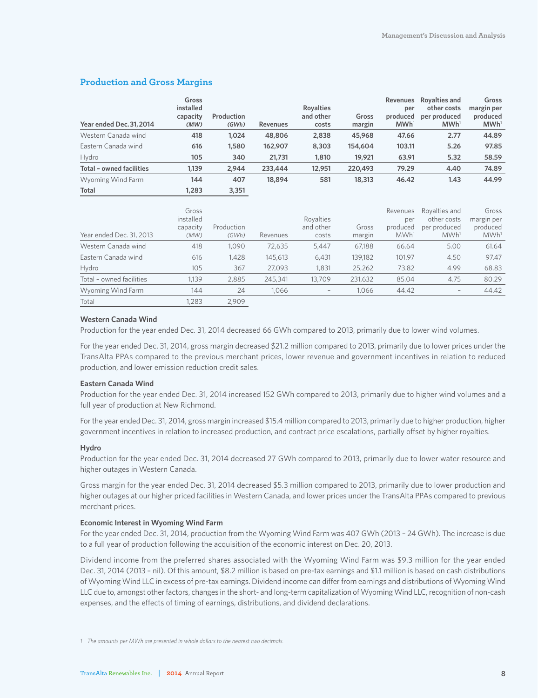### **Production and Gross Margins**

| Year ended Dec. 31, 2014 | Gross<br>installed<br>capacity<br>(MW) | Production<br>(GWh) | <b>Revenues</b> | <b>Royalties</b><br>and other<br>costs | Gross<br>margin | <b>Revenues</b><br>per<br>produced<br>MWh <sup>1</sup> | Rovalties and<br>other costs<br>per produced<br>MWh <sup>1</sup> | Gross<br>margin per<br>produced<br>MWh <sup>1</sup> |
|--------------------------|----------------------------------------|---------------------|-----------------|----------------------------------------|-----------------|--------------------------------------------------------|------------------------------------------------------------------|-----------------------------------------------------|
| Western Canada wind      | 418                                    | 1.024               | 48,806          | 2,838                                  | 45,968          | 47.66                                                  | 2.77                                                             | 44.89                                               |
| Eastern Canada wind      | 616                                    | 1,580               | 162,907         | 8,303                                  | 154,604         | 103.11                                                 | 5.26                                                             | 97.85                                               |
| Hydro                    | 105                                    | 340                 | 21,731          | 1,810                                  | 19,921          | 63.91                                                  | 5.32                                                             | 58.59                                               |
| Total - owned facilities | 1,139                                  | 2.944               | 233,444         | 12,951                                 | 220,493         | 79.29                                                  | 4.40                                                             | 74.89                                               |
| Wyoming Wind Farm        | 144                                    | 407                 | 18,894          | 581                                    | 18,313          | 46.42                                                  | 1.43                                                             | 44.99                                               |
| <b>Total</b>             | 1,283                                  | 3,351               |                 |                                        |                 |                                                        |                                                                  |                                                     |

| Year ended Dec. 31, 2013 | Gross<br>installed<br>capacity<br>(MW) | Production<br>(GWh) | Revenues | Royalties<br>and other<br>costs | Gross<br>margin | Revenues<br>per<br>produced<br>MWh <sup>1</sup> | Royalties and<br>other costs<br>per produced<br>MWh <sup>1</sup> | Gross<br>margin per<br>produced<br>MWh <sup>1</sup> |
|--------------------------|----------------------------------------|---------------------|----------|---------------------------------|-----------------|-------------------------------------------------|------------------------------------------------------------------|-----------------------------------------------------|
| Western Canada wind      | 418                                    | 1.090               | 72,635   | 5.447                           | 67,188          | 66.64                                           | 5.00                                                             | 61.64                                               |
| Eastern Canada wind      | 616                                    | 1.428               | 145,613  | 6.431                           | 139,182         | 101.97                                          | 4.50                                                             | 97.47                                               |
| Hydro                    | 105                                    | 367                 | 27.093   | 1,831                           | 25,262          | 73.82                                           | 4.99                                                             | 68.83                                               |
| Total - owned facilities | 1,139                                  | 2,885               | 245,341  | 13,709                          | 231,632         | 85.04                                           | 4.75                                                             | 80.29                                               |
| Wyoming Wind Farm        | 144                                    | 24                  | 1.066    | $\hspace{0.1mm}-\hspace{0.1mm}$ | 1.066           | 44.42                                           | -                                                                | 44.42                                               |
| Total                    | ,283                                   | 2.909               |          |                                 |                 |                                                 |                                                                  |                                                     |

### **Western Canada Wind**

Production for the year ended Dec. 31, 2014 decreased 66 GWh compared to 2013, primarily due to lower wind volumes.

For the year ended Dec. 31, 2014, gross margin decreased \$21.2 million compared to 2013, primarily due to lower prices under the TransAlta PPAs compared to the previous merchant prices, lower revenue and government incentives in relation to reduced production, and lower emission reduction credit sales.

#### **Eastern Canada Wind**

Production for the year ended Dec. 31, 2014 increased 152 GWh compared to 2013, primarily due to higher wind volumes and a full year of production at New Richmond.

For the year ended Dec. 31, 2014, gross margin increased \$15.4 million compared to 2013, primarily due to higher production, higher government incentives in relation to increased production, and contract price escalations, partially offset by higher royalties.

### **Hydro**

Production for the year ended Dec. 31, 2014 decreased 27 GWh compared to 2013, primarily due to lower water resource and higher outages in Western Canada.

Gross margin for the year ended Dec. 31, 2014 decreased \$5.3 million compared to 2013, primarily due to lower production and higher outages at our higher priced facilities in Western Canada, and lower prices under the TransAlta PPAs compared to previous merchant prices.

#### **Economic Interest in Wyoming Wind Farm**

For the year ended Dec. 31, 2014, production from the Wyoming Wind Farm was 407 GWh (2013 – 24 GWh). The increase is due to a full year of production following the acquisition of the economic interest on Dec. 20, 2013.

Dividend income from the preferred shares associated with the Wyoming Wind Farm was \$9.3 million for the year ended Dec. 31, 2014 (2013 – nil). Of this amount, \$8.2 million is based on pre-tax earnings and \$1.1 million is based on cash distributions of Wyoming Wind LLC in excess of pre-tax earnings. Dividend income can differ from earnings and distributions of Wyoming Wind LLC due to, amongst other factors, changes in the short- and long-term capitalization of Wyoming Wind LLC, recognition of non-cash expenses, and the effects of timing of earnings, distributions, and dividend declarations.

*1 The amounts per MWh are presented in whole dollars to the nearest two decimals.*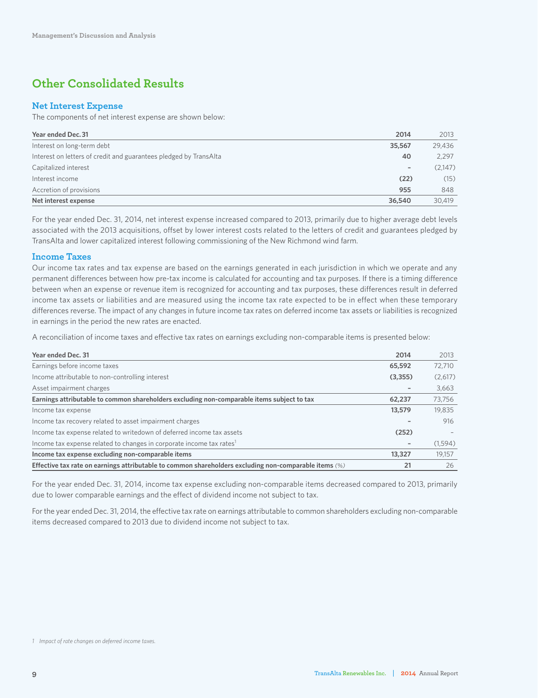### **Other Consolidated Results**

### **Net Interest Expense**

The components of net interest expense are shown below:

| Year ended Dec. 31                                                | 2014                     | 2013    |
|-------------------------------------------------------------------|--------------------------|---------|
| Interest on long-term debt                                        | 35,567                   | 29,436  |
| Interest on letters of credit and guarantees pledged by TransAlta | 40                       | 2,297   |
| Capitalized interest                                              | $\overline{\phantom{a}}$ | (2,147) |
| Interest income                                                   | (22)                     | (15)    |
| Accretion of provisions                                           | 955                      | 848     |
| Net interest expense                                              | 36,540                   | 30,419  |

For the year ended Dec. 31, 2014, net interest expense increased compared to 2013, primarily due to higher average debt levels associated with the 2013 acquisitions, offset by lower interest costs related to the letters of credit and guarantees pledged by TransAlta and lower capitalized interest following commissioning of the New Richmond wind farm.

### **Income Taxes**

Our income tax rates and tax expense are based on the earnings generated in each jurisdiction in which we operate and any permanent differences between how pre-tax income is calculated for accounting and tax purposes. If there is a timing difference between when an expense or revenue item is recognized for accounting and tax purposes, these differences result in deferred income tax assets or liabilities and are measured using the income tax rate expected to be in effect when these temporary differences reverse. The impact of any changes in future income tax rates on deferred income tax assets or liabilities is recognized in earnings in the period the new rates are enacted.

A reconciliation of income taxes and effective tax rates on earnings excluding non-comparable items is presented below:

| Year ended Dec. 31                                                                                    | 2014                     | 2013    |
|-------------------------------------------------------------------------------------------------------|--------------------------|---------|
| Earnings before income taxes                                                                          | 65,592                   | 72.710  |
| Income attributable to non-controlling interest                                                       | (3,355)                  | (2,617) |
| Asset impairment charges                                                                              | $\overline{\phantom{a}}$ | 3.663   |
| Earnings attributable to common shareholders excluding non-comparable items subject to tax            | 62,237                   | 73.756  |
| Income tax expense                                                                                    | 13,579                   | 19,835  |
| Income tax recovery related to asset impairment charges                                               |                          | 916     |
| Income tax expense related to writedown of deferred income tax assets                                 | (252)                    |         |
| Income tax expense related to changes in corporate income tax rates <sup>1</sup>                      | $\overline{\phantom{a}}$ | (1,594) |
| Income tax expense excluding non-comparable items                                                     | 13,327                   | 19.157  |
| Effective tax rate on earnings attributable to common shareholders excluding non-comparable items (%) | 21                       | 26      |

For the year ended Dec. 31, 2014, income tax expense excluding non-comparable items decreased compared to 2013, primarily due to lower comparable earnings and the effect of dividend income not subject to tax.

For the year ended Dec. 31, 2014, the effective tax rate on earnings attributable to common shareholders excluding non-comparable items decreased compared to 2013 due to dividend income not subject to tax.

*<sup>1</sup> Impact of rate changes on deferred income taxes.*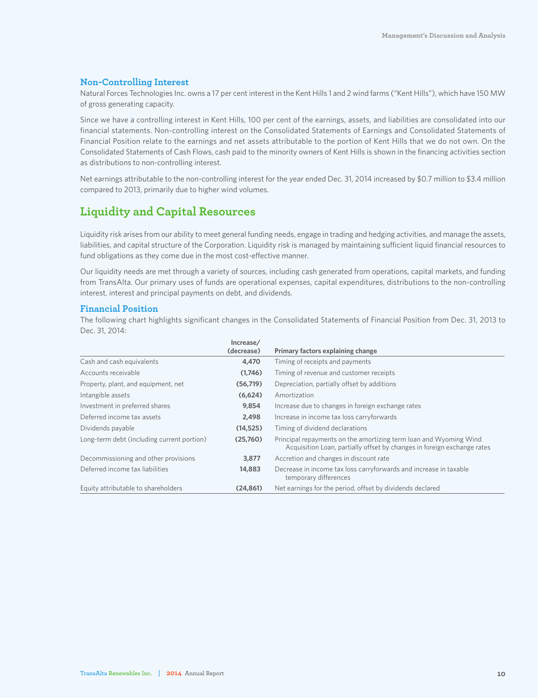### **Non-Controlling Interest**

Natural Forces Technologies Inc. owns a 17 per cent interest in the Kent Hills 1 and 2 wind farms ("Kent Hills"), which have 150 MW of gross generating capacity.

Since we have a controlling interest in Kent Hills, 100 per cent of the earnings, assets, and liabilities are consolidated into our financial statements. Non-controlling interest on the Consolidated Statements of Earnings and Consolidated Statements of Financial Position relate to the earnings and net assets attributable to the portion of Kent Hills that we do not own. On the Consolidated Statements of Cash Flows, cash paid to the minority owners of Kent Hills is shown in the financing activities section as distributions to non-controlling interest.

Net earnings attributable to the non-controlling interest for the year ended Dec. 31, 2014 increased by \$0.7 million to \$3.4 million compared to 2013, primarily due to higher wind volumes.

### **Liquidity and Capital Resources**

Liquidity risk arises from our ability to meet general funding needs, engage in trading and hedging activities, and manage the assets, liabilities, and capital structure of the Corporation. Liquidity risk is managed by maintaining sufficient liquid financial resources to fund obligations as they come due in the most cost-effective manner.

Our liquidity needs are met through a variety of sources, including cash generated from operations, capital markets, and funding from TransAlta. Our primary uses of funds are operational expenses, capital expenditures, distributions to the non-controlling interest, interest and principal payments on debt, and dividends.

### **Financial Position**

The following chart highlights significant changes in the Consolidated Statements of Financial Position from Dec. 31, 2013 to Dec. 31, 2014:

|                                            | Increase/  |                                                                                                                                              |
|--------------------------------------------|------------|----------------------------------------------------------------------------------------------------------------------------------------------|
|                                            | (decrease) | Primary factors explaining change                                                                                                            |
| Cash and cash equivalents                  | 4,470      | Timing of receipts and payments                                                                                                              |
| Accounts receivable                        | (1,746)    | Timing of revenue and customer receipts                                                                                                      |
| Property, plant, and equipment, net        | (56, 719)  | Depreciation, partially offset by additions                                                                                                  |
| Intangible assets                          | (6,624)    | Amortization                                                                                                                                 |
| Investment in preferred shares             | 9,854      | Increase due to changes in foreign exchange rates                                                                                            |
| Deferred income tax assets                 | 2,498      | Increase in income tax loss carryforwards                                                                                                    |
| Dividends payable                          | (14, 525)  | Timing of dividend declarations                                                                                                              |
| Long-term debt (including current portion) | (25.760)   | Principal repayments on the amortizing term loan and Wyoming Wind<br>Acquisition Loan, partially offset by changes in foreign exchange rates |
| Decommissioning and other provisions       | 3,877      | Accretion and changes in discount rate                                                                                                       |
| Deferred income tax liabilities            | 14,883     | Decrease in income tax loss carryforwards and increase in taxable<br>temporary differences                                                   |
| Equity attributable to shareholders        | (24.861)   | Net earnings for the period, offset by dividends declared                                                                                    |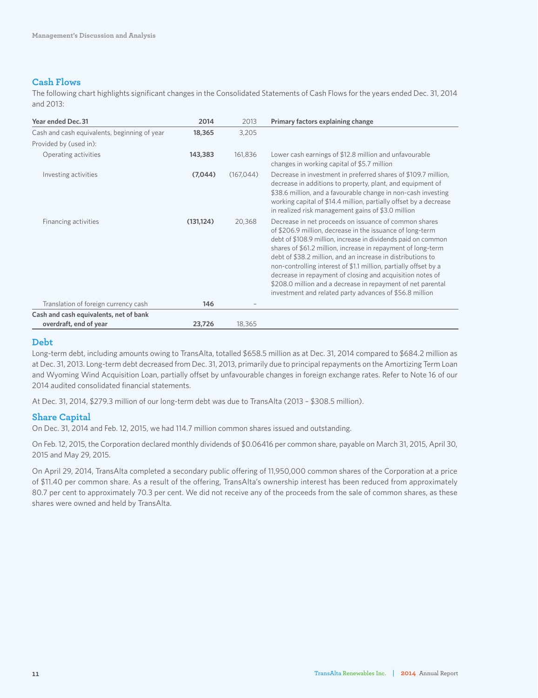### **Cash Flows**

The following chart highlights significant changes in the Consolidated Statements of Cash Flows for the years ended Dec. 31, 2014 and 2013:

| Year ended Dec. 31                           | 2014       | 2013       | Primary factors explaining change                                                                                                                                                                                                                                                                                                                                                                                                                                                                                                                                             |
|----------------------------------------------|------------|------------|-------------------------------------------------------------------------------------------------------------------------------------------------------------------------------------------------------------------------------------------------------------------------------------------------------------------------------------------------------------------------------------------------------------------------------------------------------------------------------------------------------------------------------------------------------------------------------|
| Cash and cash equivalents, beginning of year | 18,365     | 3,205      |                                                                                                                                                                                                                                                                                                                                                                                                                                                                                                                                                                               |
| Provided by (used in):                       |            |            |                                                                                                                                                                                                                                                                                                                                                                                                                                                                                                                                                                               |
| Operating activities                         | 143,383    | 161,836    | Lower cash earnings of \$12.8 million and unfavourable<br>changes in working capital of \$5.7 million                                                                                                                                                                                                                                                                                                                                                                                                                                                                         |
| Investing activities                         | (7,044)    | (167, 044) | Decrease in investment in preferred shares of \$109.7 million,<br>decrease in additions to property, plant, and equipment of<br>\$38.6 million, and a favourable change in non-cash investing<br>working capital of \$14.4 million, partially offset by a decrease<br>in realized risk management gains of \$3.0 million                                                                                                                                                                                                                                                      |
| Financing activities                         | (131, 124) | 20,368     | Decrease in net proceeds on issuance of common shares<br>of \$206.9 million, decrease in the issuance of long-term<br>debt of \$108.9 million, increase in dividends paid on common<br>shares of \$61.2 million, increase in repayment of long-term<br>debt of \$38.2 million, and an increase in distributions to<br>non-controlling interest of \$1.1 million, partially offset by a<br>decrease in repayment of closing and acquisition notes of<br>\$208.0 million and a decrease in repayment of net parental<br>investment and related party advances of \$56.8 million |
| Translation of foreign currency cash         | 146        |            |                                                                                                                                                                                                                                                                                                                                                                                                                                                                                                                                                                               |
| Cash and cash equivalents, net of bank       |            |            |                                                                                                                                                                                                                                                                                                                                                                                                                                                                                                                                                                               |
| overdraft, end of year                       | 23,726     | 18,365     |                                                                                                                                                                                                                                                                                                                                                                                                                                                                                                                                                                               |

### **Debt**

Long-term debt, including amounts owing to TransAlta, totalled \$658.5 million as at Dec. 31, 2014 compared to \$684.2 million as at Dec. 31, 2013. Long-term debt decreased from Dec. 31, 2013, primarily due to principal repayments on the Amortizing Term Loan and Wyoming Wind Acquisition Loan, partially offset by unfavourable changes in foreign exchange rates. Refer to Note 16 of our 2014 audited consolidated financial statements.

At Dec. 31, 2014, \$279.3 million of our long-term debt was due to TransAlta (2013 – \$308.5 million).

### **Share Capital**

On Dec. 31, 2014 and Feb. 12, 2015, we had 114.7 million common shares issued and outstanding.

On Feb. 12, 2015, the Corporation declared monthly dividends of \$0.06416 per common share, payable on March 31, 2015, April 30, 2015 and May 29, 2015.

On April 29, 2014, TransAlta completed a secondary public offering of 11,950,000 common shares of the Corporation at a price of \$11.40 per common share. As a result of the offering, TransAlta's ownership interest has been reduced from approximately 80.7 per cent to approximately 70.3 per cent. We did not receive any of the proceeds from the sale of common shares, as these shares were owned and held by TransAlta.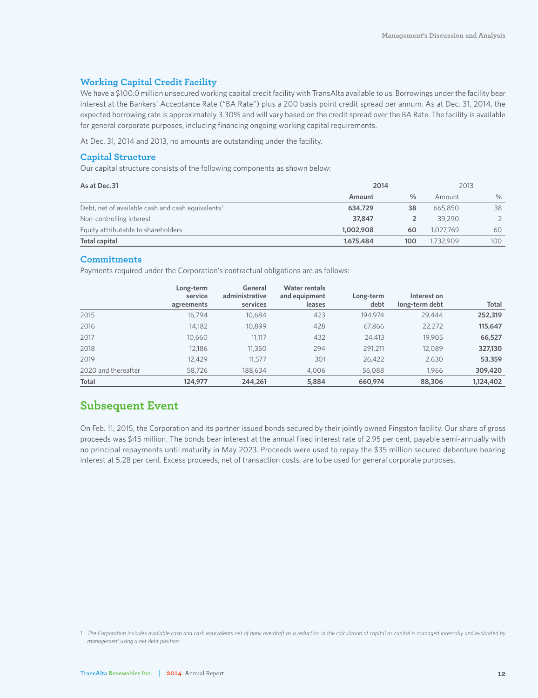### **Working Capital Credit Facility**

We have a \$100.0 million unsecured working capital credit facility with TransAlta available to us. Borrowings under the facility bear interest at the Bankers' Acceptance Rate ("BA Rate") plus a 200 basis point credit spread per annum. As at Dec. 31, 2014, the expected borrowing rate is approximately 3.30% and will vary based on the credit spread over the BA Rate. The facility is available for general corporate purposes, including financing ongoing working capital requirements.

At Dec. 31, 2014 and 2013, no amounts are outstanding under the facility.

### **Capital Structure**

Our capital structure consists of the following components as shown below:

| As at Dec. 31                                                 | 2014      | 2013 |           |      |
|---------------------------------------------------------------|-----------|------|-----------|------|
|                                                               | Amount    | $\%$ | Amount    | $\%$ |
| Debt, net of available cash and cash equivalents <sup>1</sup> | 634,729   | 38   | 665,850   | 38   |
| Non-controlling interest                                      | 37,847    |      | 39,290    |      |
| Equity attributable to shareholders                           | 1,002,908 | 60   | 1.027.769 | 60   |
| Total capital                                                 | 1,675,484 | 100  | 1,732,909 | 100  |

### **Commitments**

Payments required under the Corporation's contractual obligations are as follows:

|                     | Long-term<br>service | General<br>administrative | <b>Water rentals</b><br>and equipment | Long-term | Interest on    |              |
|---------------------|----------------------|---------------------------|---------------------------------------|-----------|----------------|--------------|
|                     | agreements           | services                  | leases                                | debt      | long-term debt | <b>Total</b> |
| 2015                | 16.794               | 10.684                    | 423                                   | 194.974   | 29,444         | 252,319      |
| 2016                | 14.182               | 10.899                    | 428                                   | 67,866    | 22,272         | 115,647      |
| 2017                | 10.660               | 11.117                    | 432                                   | 24.413    | 19.905         | 66,527       |
| 2018                | 12.186               | 11,350                    | 294                                   | 291,211   | 12.089         | 327,130      |
| 2019                | 12.429               | 11.577                    | 301                                   | 26.422    | 2,630          | 53,359       |
| 2020 and thereafter | 58,726               | 188,634                   | 4.006                                 | 56.088    | 1.966          | 309,420      |
| <b>Total</b>        | 124,977              | 244,261                   | 5,884                                 | 660,974   | 88,306         | 1,124,402    |

### **Subsequent Event**

On Feb. 11, 2015, the Corporation and its partner issued bonds secured by their jointly owned Pingston facility. Our share of gross proceeds was \$45 million. The bonds bear interest at the annual fixed interest rate of 2.95 per cent, payable semi-annually with no principal repayments until maturity in May 2023. Proceeds were used to repay the \$35 million secured debenture bearing interest at 5.28 per cent. Excess proceeds, net of transaction costs, are to be used for general corporate purposes.

*1 The Corporation includes available cash and cash equivalents net of bank overdraft as a reduction in the calculation of capital as capital is managed internally and evaluated by management using a net debt position.*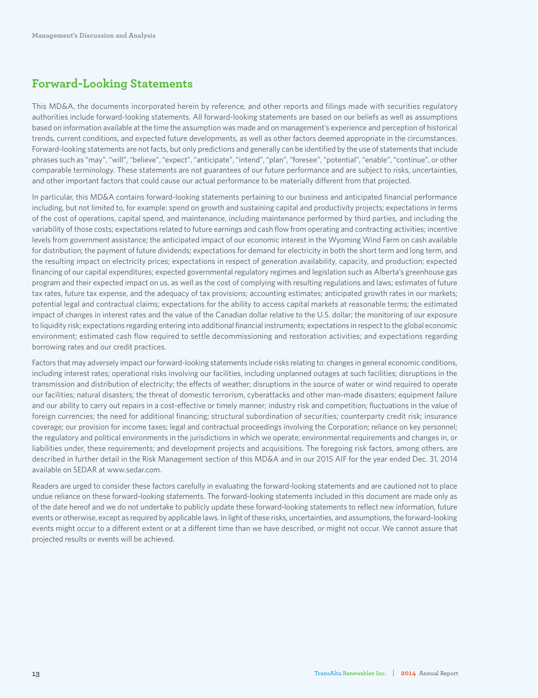### **Forward-Looking Statements**

This MD&A, the documents incorporated herein by reference, and other reports and filings made with securities regulatory authorities include forward-looking statements. All forward-looking statements are based on our beliefs as well as assumptions based on information available at the time the assumption was made and on management's experience and perception of historical trends, current conditions, and expected future developments, as well as other factors deemed appropriate in the circumstances. Forward-looking statements are not facts, but only predictions and generally can be identified by the use of statements that include phrases such as "may", "will", "believe", "expect", "anticipate", "intend", "plan", "foresee", "potential", "enable", "continue", or other comparable terminology. These statements are not guarantees of our future performance and are subject to risks, uncertainties, and other important factors that could cause our actual performance to be materially different from that projected.

In particular, this MD&A contains forward-looking statements pertaining to our business and anticipated financial performance including, but not limited to, for example: spend on growth and sustaining capital and productivity projects; expectations in terms of the cost of operations, capital spend, and maintenance, including maintenance performed by third parties, and including the variability of those costs; expectations related to future earnings and cash flow from operating and contracting activities; incentive levels from government assistance; the anticipated impact of our economic interest in the Wyoming Wind Farm on cash available for distribution; the payment of future dividends; expectations for demand for electricity in both the short term and long term, and the resulting impact on electricity prices; expectations in respect of generation availability, capacity, and production; expected financing of our capital expenditures; expected governmental regulatory regimes and legislation such as Alberta's greenhouse gas program and their expected impact on us, as well as the cost of complying with resulting regulations and laws; estimates of future tax rates, future tax expense, and the adequacy of tax provisions; accounting estimates; anticipated growth rates in our markets; potential legal and contractual claims; expectations for the ability to access capital markets at reasonable terms; the estimated impact of changes in interest rates and the value of the Canadian dollar relative to the U.S. dollar; the monitoring of our exposure to liquidity risk; expectations regarding entering into additional financial instruments; expectations in respect to the global economic environment; estimated cash flow required to settle decommissioning and restoration activities; and expectations regarding borrowing rates and our credit practices.

Factors that may adversely impact our forward-looking statements include risks relating to: changes in general economic conditions, including interest rates; operational risks involving our facilities, including unplanned outages at such facilities; disruptions in the transmission and distribution of electricity; the effects of weather; disruptions in the source of water or wind required to operate our facilities; natural disasters; the threat of domestic terrorism, cyberattacks and other man-made disasters; equipment failure and our ability to carry out repairs in a cost-effective or timely manner; industry risk and competition; fluctuations in the value of foreign currencies; the need for additional financing; structural subordination of securities; counterparty credit risk; insurance coverage; our provision for income taxes; legal and contractual proceedings involving the Corporation; reliance on key personnel; the regulatory and political environments in the jurisdictions in which we operate; environmental requirements and changes in, or liabilities under, these requirements; and development projects and acquisitions. The foregoing risk factors, among others, are described in further detail in the Risk Management section of this MD&A and in our 2015 AIF for the year ended Dec. 31, 2014 available on SEDAR at www.sedar.com.

Readers are urged to consider these factors carefully in evaluating the forward-looking statements and are cautioned not to place undue reliance on these forward-looking statements. The forward-looking statements included in this document are made only as of the date hereof and we do not undertake to publicly update these forward-looking statements to reflect new information, future events or otherwise, except as required by applicable laws. In light of these risks, uncertainties, and assumptions, the forward-looking events might occur to a different extent or at a different time than we have described, or might not occur. We cannot assure that projected results or events will be achieved.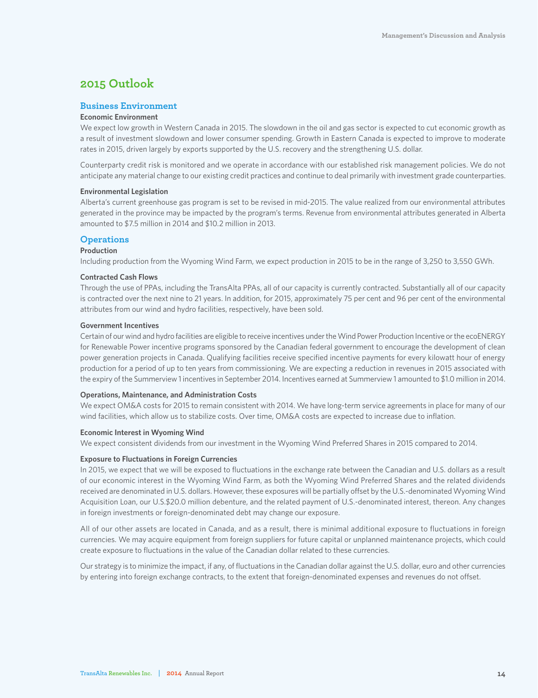### **2015 Outlook**

### **Business Environment**

### **Economic Environment**

We expect low growth in Western Canada in 2015. The slowdown in the oil and gas sector is expected to cut economic growth as a result of investment slowdown and lower consumer spending. Growth in Eastern Canada is expected to improve to moderate rates in 2015, driven largely by exports supported by the U.S. recovery and the strengthening U.S. dollar.

Counterparty credit risk is monitored and we operate in accordance with our established risk management policies. We do not anticipate any material change to our existing credit practices and continue to deal primarily with investment grade counterparties.

#### **Environmental Legislation**

Alberta's current greenhouse gas program is set to be revised in mid-2015. The value realized from our environmental attributes generated in the province may be impacted by the program's terms. Revenue from environmental attributes generated in Alberta amounted to \$7.5 million in 2014 and \$10.2 million in 2013.

### **Operations**

### **Production**

Including production from the Wyoming Wind Farm, we expect production in 2015 to be in the range of 3,250 to 3,550 GWh.

#### **Contracted Cash Flows**

Through the use of PPAs, including the TransAlta PPAs, all of our capacity is currently contracted. Substantially all of our capacity is contracted over the next nine to 21 years. In addition, for 2015, approximately 75 per cent and 96 per cent of the environmental attributes from our wind and hydro facilities, respectively, have been sold.

### **Government Incentives**

Certain of our wind and hydro facilities are eligible to receive incentives under the Wind Power Production Incentive or the ecoENERGY for Renewable Power incentive programs sponsored by the Canadian federal government to encourage the development of clean power generation projects in Canada. Qualifying facilities receive specified incentive payments for every kilowatt hour of energy production for a period of up to ten years from commissioning. We are expecting a reduction in revenues in 2015 associated with the expiry of the Summerview 1 incentives in September 2014. Incentives earned at Summerview 1 amounted to \$1.0 million in 2014.

#### **Operations, Maintenance, and Administration Costs**

We expect OM&A costs for 2015 to remain consistent with 2014. We have long-term service agreements in place for many of our wind facilities, which allow us to stabilize costs. Over time, OM&A costs are expected to increase due to inflation.

#### **Economic Interest in Wyoming Wind**

We expect consistent dividends from our investment in the Wyoming Wind Preferred Shares in 2015 compared to 2014.

#### **Exposure to Fluctuations in Foreign Currencies**

In 2015, we expect that we will be exposed to fluctuations in the exchange rate between the Canadian and U.S. dollars as a result of our economic interest in the Wyoming Wind Farm, as both the Wyoming Wind Preferred Shares and the related dividends received are denominated in U.S. dollars. However, these exposures will be partially offset by the U.S.-denominated Wyoming Wind Acquisition Loan, our U.S.\$20.0 million debenture, and the related payment of U.S.-denominated interest, thereon. Any changes in foreign investments or foreign-denominated debt may change our exposure.

All of our other assets are located in Canada, and as a result, there is minimal additional exposure to fluctuations in foreign currencies. We may acquire equipment from foreign suppliers for future capital or unplanned maintenance projects, which could create exposure to fluctuations in the value of the Canadian dollar related to these currencies.

Our strategy is to minimize the impact, if any, of fluctuations in the Canadian dollar against the U.S. dollar, euro and other currencies by entering into foreign exchange contracts, to the extent that foreign-denominated expenses and revenues do not offset.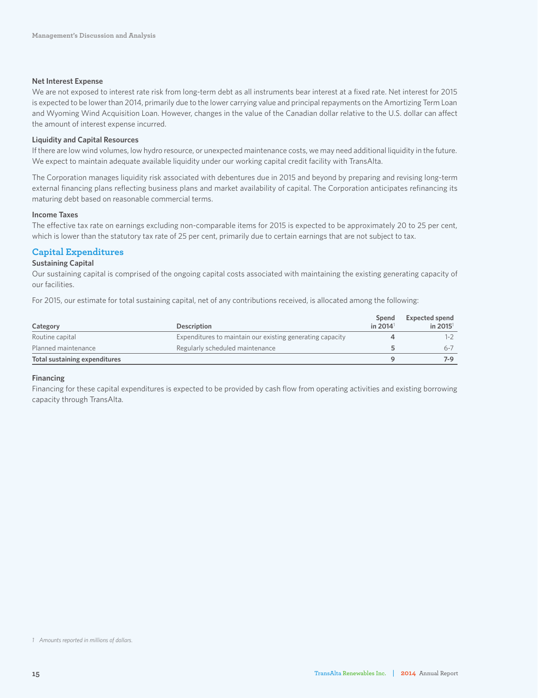### **Net Interest Expense**

We are not exposed to interest rate risk from long-term debt as all instruments bear interest at a fixed rate. Net interest for 2015 is expected to be lower than 2014, primarily due to the lower carrying value and principal repayments on the Amortizing Term Loan and Wyoming Wind Acquisition Loan. However, changes in the value of the Canadian dollar relative to the U.S. dollar can affect the amount of interest expense incurred.

### **Liquidity and Capital Resources**

If there are low wind volumes, low hydro resource, or unexpected maintenance costs, we may need additional liquidity in the future. We expect to maintain adequate available liquidity under our working capital credit facility with TransAlta.

The Corporation manages liquidity risk associated with debentures due in 2015 and beyond by preparing and revising long-term external financing plans reflecting business plans and market availability of capital. The Corporation anticipates refinancing its maturing debt based on reasonable commercial terms.

### **Income Taxes**

The effective tax rate on earnings excluding non-comparable items for 2015 is expected to be approximately 20 to 25 per cent, which is lower than the statutory tax rate of 25 per cent, primarily due to certain earnings that are not subject to tax.

### **Capital Expenditures**

### **Sustaining Capital**

Our sustaining capital is comprised of the ongoing capital costs associated with maintaining the existing generating capacity of our facilities.

For 2015, our estimate for total sustaining capital, net of any contributions received, is allocated among the following:

| Category                      | <b>Description</b>                                        | Spend<br>in 2014 <sup>1</sup> | <b>Expected spend</b><br>in 2015 $1$ |
|-------------------------------|-----------------------------------------------------------|-------------------------------|--------------------------------------|
| Routine capital               | Expenditures to maintain our existing generating capacity |                               | $1 - 2$                              |
| Planned maintenance           | Regularly scheduled maintenance                           |                               | $6 - 7$                              |
| Total sustaining expenditures |                                                           |                               | $7-9$                                |

### **Financing**

Financing for these capital expenditures is expected to be provided by cash flow from operating activities and existing borrowing capacity through TransAlta.

*<sup>1</sup> Amounts reported in millions of dollars.*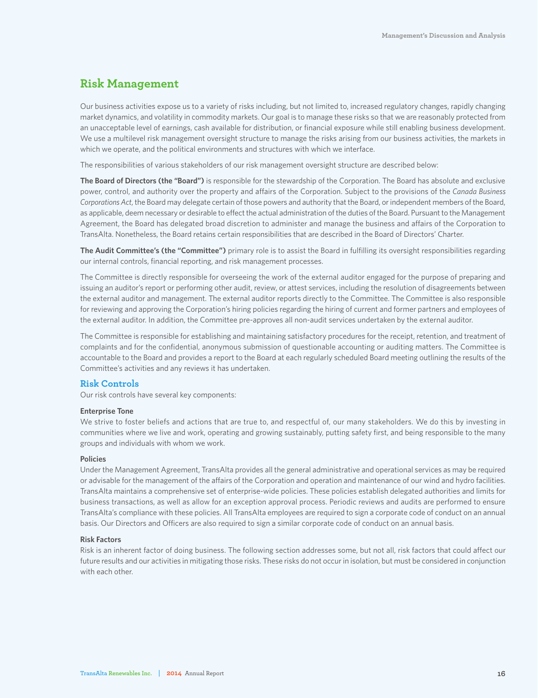### **Risk Management**

Our business activities expose us to a variety of risks including, but not limited to, increased regulatory changes, rapidly changing market dynamics, and volatility in commodity markets. Our goal is to manage these risks so that we are reasonably protected from an unacceptable level of earnings, cash available for distribution, or financial exposure while still enabling business development. We use a multilevel risk management oversight structure to manage the risks arising from our business activities, the markets in which we operate, and the political environments and structures with which we interface.

The responsibilities of various stakeholders of our risk management oversight structure are described below:

**The Board of Directors (the "Board")** is responsible for the stewardship of the Corporation. The Board has absolute and exclusive power, control, and authority over the property and affairs of the Corporation. Subject to the provisions of the *Canada Business Corporations Act*, the Board may delegate certain of those powers and authority that the Board, or independent members of the Board, as applicable, deem necessary or desirable to effect the actual administration of the duties of the Board. Pursuant to the Management Agreement, the Board has delegated broad discretion to administer and manage the business and affairs of the Corporation to TransAlta. Nonetheless, the Board retains certain responsibilities that are described in the Board of Directors' Charter.

**The Audit Committee's (the "Committee")** primary role is to assist the Board in fulfilling its oversight responsibilities regarding our internal controls, financial reporting, and risk management processes.

The Committee is directly responsible for overseeing the work of the external auditor engaged for the purpose of preparing and issuing an auditor's report or performing other audit, review, or attest services, including the resolution of disagreements between the external auditor and management. The external auditor reports directly to the Committee. The Committee is also responsible for reviewing and approving the Corporation's hiring policies regarding the hiring of current and former partners and employees of the external auditor. In addition, the Committee pre-approves all non-audit services undertaken by the external auditor.

The Committee is responsible for establishing and maintaining satisfactory procedures for the receipt, retention, and treatment of complaints and for the confidential, anonymous submission of questionable accounting or auditing matters. The Committee is accountable to the Board and provides a report to the Board at each regularly scheduled Board meeting outlining the results of the Committee's activities and any reviews it has undertaken.

### **Risk Controls**

Our risk controls have several key components:

#### **Enterprise Tone**

We strive to foster beliefs and actions that are true to, and respectful of, our many stakeholders. We do this by investing in communities where we live and work, operating and growing sustainably, putting safety first, and being responsible to the many groups and individuals with whom we work.

#### **Policies**

Under the Management Agreement, TransAlta provides all the general administrative and operational services as may be required or advisable for the management of the affairs of the Corporation and operation and maintenance of our wind and hydro facilities. TransAlta maintains a comprehensive set of enterprise-wide policies. These policies establish delegated authorities and limits for business transactions, as well as allow for an exception approval process. Periodic reviews and audits are performed to ensure TransAlta's compliance with these policies. All TransAlta employees are required to sign a corporate code of conduct on an annual basis. Our Directors and Officers are also required to sign a similar corporate code of conduct on an annual basis.

#### **Risk Factors**

Risk is an inherent factor of doing business. The following section addresses some, but not all, risk factors that could affect our future results and our activities in mitigating those risks. These risks do not occur in isolation, but must be considered in conjunction with each other.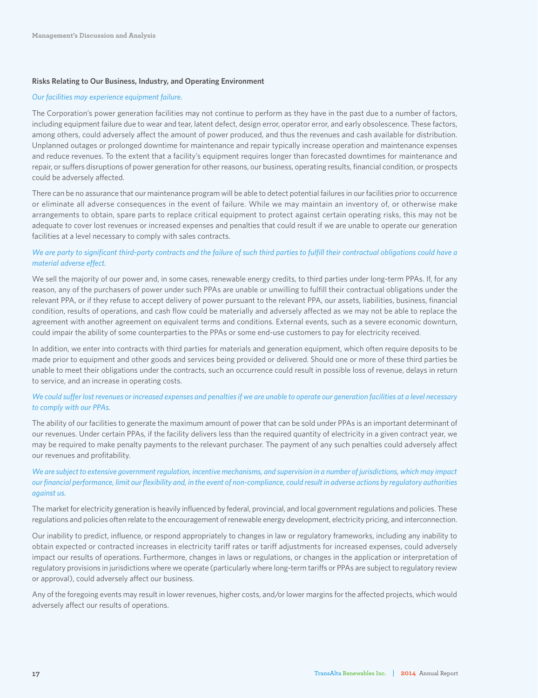### **Risks Relating to Our Business, Industry, and Operating Environment**

#### *Our facilities may experience equipment failure.*

The Corporation's power generation facilities may not continue to perform as they have in the past due to a number of factors, including equipment failure due to wear and tear, latent defect, design error, operator error, and early obsolescence. These factors, among others, could adversely affect the amount of power produced, and thus the revenues and cash available for distribution. Unplanned outages or prolonged downtime for maintenance and repair typically increase operation and maintenance expenses and reduce revenues. To the extent that a facility's equipment requires longer than forecasted downtimes for maintenance and repair, or suffers disruptions of power generation for other reasons, our business, operating results, financial condition, or prospects could be adversely affected.

There can be no assurance that our maintenance program will be able to detect potential failures in our facilities prior to occurrence or eliminate all adverse consequences in the event of failure. While we may maintain an inventory of, or otherwise make arrangements to obtain, spare parts to replace critical equipment to protect against certain operating risks, this may not be adequate to cover lost revenues or increased expenses and penalties that could result if we are unable to operate our generation facilities at a level necessary to comply with sales contracts.

### *We are party to significant third-party contracts and the failure of such third parties to fulfill their contractual obligations could have a material adverse effect.*

We sell the majority of our power and, in some cases, renewable energy credits, to third parties under long-term PPAs. If, for any reason, any of the purchasers of power under such PPAs are unable or unwilling to fulfill their contractual obligations under the relevant PPA, or if they refuse to accept delivery of power pursuant to the relevant PPA, our assets, liabilities, business, financial condition, results of operations, and cash flow could be materially and adversely affected as we may not be able to replace the agreement with another agreement on equivalent terms and conditions. External events, such as a severe economic downturn, could impair the ability of some counterparties to the PPAs or some end-use customers to pay for electricity received.

In addition, we enter into contracts with third parties for materials and generation equipment, which often require deposits to be made prior to equipment and other goods and services being provided or delivered. Should one or more of these third parties be unable to meet their obligations under the contracts, such an occurrence could result in possible loss of revenue, delays in return to service, and an increase in operating costs.

### *We could suffer lost revenues or increased expenses and penalties if we are unable to operate our generation facilities at a level necessary to comply with our PPAs.*

The ability of our facilities to generate the maximum amount of power that can be sold under PPAs is an important determinant of our revenues. Under certain PPAs, if the facility delivers less than the required quantity of electricity in a given contract year, we may be required to make penalty payments to the relevant purchaser. The payment of any such penalties could adversely affect our revenues and profitability.

*We are subject to extensive government regulation, incentive mechanisms, and supervision in a number of jurisdictions, which may impact our financial performance, limit our flexibility and, in the event of non-compliance, could result in adverse actions by regulatory authorities against us.*

The market for electricity generation is heavily influenced by federal, provincial, and local government regulations and policies. These regulations and policies often relate to the encouragement of renewable energy development, electricity pricing, and interconnection.

Our inability to predict, influence, or respond appropriately to changes in law or regulatory frameworks, including any inability to obtain expected or contracted increases in electricity tariff rates or tariff adjustments for increased expenses, could adversely impact our results of operations. Furthermore, changes in laws or regulations, or changes in the application or interpretation of regulatory provisions in jurisdictions where we operate (particularly where long-term tariffs or PPAs are subject to regulatory review or approval), could adversely affect our business.

Any of the foregoing events may result in lower revenues, higher costs, and/or lower margins for the affected projects, which would adversely affect our results of operations.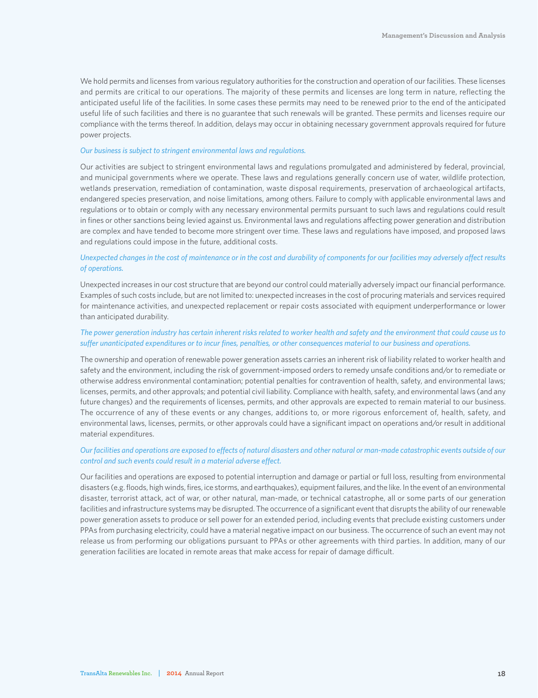We hold permits and licenses from various regulatory authorities for the construction and operation of our facilities. These licenses and permits are critical to our operations. The majority of these permits and licenses are long term in nature, reflecting the anticipated useful life of the facilities. In some cases these permits may need to be renewed prior to the end of the anticipated useful life of such facilities and there is no guarantee that such renewals will be granted. These permits and licenses require our compliance with the terms thereof. In addition, delays may occur in obtaining necessary government approvals required for future power projects.

#### *Our business is subject to stringent environmental laws and regulations.*

Our activities are subject to stringent environmental laws and regulations promulgated and administered by federal, provincial, and municipal governments where we operate. These laws and regulations generally concern use of water, wildlife protection, wetlands preservation, remediation of contamination, waste disposal requirements, preservation of archaeological artifacts, endangered species preservation, and noise limitations, among others. Failure to comply with applicable environmental laws and regulations or to obtain or comply with any necessary environmental permits pursuant to such laws and regulations could result in fines or other sanctions being levied against us. Environmental laws and regulations affecting power generation and distribution are complex and have tended to become more stringent over time. These laws and regulations have imposed, and proposed laws and regulations could impose in the future, additional costs.

### *Unexpected changes in the cost of maintenance or in the cost and durability of components for our facilities may adversely affect results of operations.*

Unexpected increases in our cost structure that are beyond our control could materially adversely impact our financial performance. Examples of such costs include, but are not limited to: unexpected increases in the cost of procuring materials and services required for maintenance activities, and unexpected replacement or repair costs associated with equipment underperformance or lower than anticipated durability.

### *The power generation industry has certain inherent risks related to worker health and safety and the environment that could cause us to suffer unanticipated expenditures or to incur fines, penalties, or other consequences material to our business and operations.*

The ownership and operation of renewable power generation assets carries an inherent risk of liability related to worker health and safety and the environment, including the risk of government-imposed orders to remedy unsafe conditions and/or to remediate or otherwise address environmental contamination; potential penalties for contravention of health, safety, and environmental laws; licenses, permits, and other approvals; and potential civil liability. Compliance with health, safety, and environmental laws (and any future changes) and the requirements of licenses, permits, and other approvals are expected to remain material to our business. The occurrence of any of these events or any changes, additions to, or more rigorous enforcement of, health, safety, and environmental laws, licenses, permits, or other approvals could have a significant impact on operations and/or result in additional material expenditures.

### *Our facilities and operations are exposed to effects of natural disasters and other natural or man-made catastrophic events outside of our control and such events could result in a material adverse effect.*

Our facilities and operations are exposed to potential interruption and damage or partial or full loss, resulting from environmental disasters (e.g. floods, high winds, fires, ice storms, and earthquakes), equipment failures, and the like. In the event of an environmental disaster, terrorist attack, act of war, or other natural, man-made, or technical catastrophe, all or some parts of our generation facilities and infrastructure systems may be disrupted. The occurrence of a significant event that disrupts the ability of our renewable power generation assets to produce or sell power for an extended period, including events that preclude existing customers under PPAs from purchasing electricity, could have a material negative impact on our business. The occurrence of such an event may not release us from performing our obligations pursuant to PPAs or other agreements with third parties. In addition, many of our generation facilities are located in remote areas that make access for repair of damage difficult.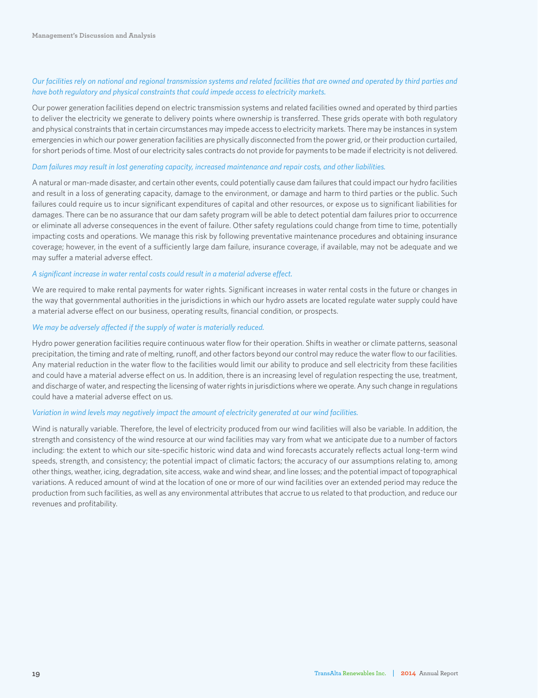### *Our facilities rely on national and regional transmission systems and related facilities that are owned and operated by third parties and have both regulatory and physical constraints that could impede access to electricity markets.*

Our power generation facilities depend on electric transmission systems and related facilities owned and operated by third parties to deliver the electricity we generate to delivery points where ownership is transferred. These grids operate with both regulatory and physical constraints that in certain circumstances may impede access to electricity markets. There may be instances in system emergencies in which our power generation facilities are physically disconnected from the power grid, or their production curtailed, for short periods of time. Most of our electricity sales contracts do not provide for payments to be made if electricity is not delivered.

#### *Dam failures may result in lost generating capacity, increased maintenance and repair costs, and other liabilities.*

A natural or man-made disaster, and certain other events, could potentially cause dam failures that could impact our hydro facilities and result in a loss of generating capacity, damage to the environment, or damage and harm to third parties or the public. Such failures could require us to incur significant expenditures of capital and other resources, or expose us to significant liabilities for damages. There can be no assurance that our dam safety program will be able to detect potential dam failures prior to occurrence or eliminate all adverse consequences in the event of failure. Other safety regulations could change from time to time, potentially impacting costs and operations. We manage this risk by following preventative maintenance procedures and obtaining insurance coverage; however, in the event of a sufficiently large dam failure, insurance coverage, if available, may not be adequate and we may suffer a material adverse effect.

### *A significant increase in water rental costs could result in a material adverse effect.*

We are required to make rental payments for water rights. Significant increases in water rental costs in the future or changes in the way that governmental authorities in the jurisdictions in which our hydro assets are located regulate water supply could have a material adverse effect on our business, operating results, financial condition, or prospects.

### *We may be adversely affected if the supply of water is materially reduced.*

Hydro power generation facilities require continuous water flow for their operation. Shifts in weather or climate patterns, seasonal precipitation, the timing and rate of melting, runoff, and other factors beyond our control may reduce the water flow to our facilities. Any material reduction in the water flow to the facilities would limit our ability to produce and sell electricity from these facilities and could have a material adverse effect on us. In addition, there is an increasing level of regulation respecting the use, treatment, and discharge of water, and respecting the licensing of water rights in jurisdictions where we operate. Any such change in regulations could have a material adverse effect on us.

#### *Variation in wind levels may negatively impact the amount of electricity generated at our wind facilities.*

Wind is naturally variable. Therefore, the level of electricity produced from our wind facilities will also be variable. In addition, the strength and consistency of the wind resource at our wind facilities may vary from what we anticipate due to a number of factors including: the extent to which our site-specific historic wind data and wind forecasts accurately reflects actual long-term wind speeds, strength, and consistency; the potential impact of climatic factors; the accuracy of our assumptions relating to, among other things, weather, icing, degradation, site access, wake and wind shear, and line losses; and the potential impact of topographical variations. A reduced amount of wind at the location of one or more of our wind facilities over an extended period may reduce the production from such facilities, as well as any environmental attributes that accrue to us related to that production, and reduce our revenues and profitability.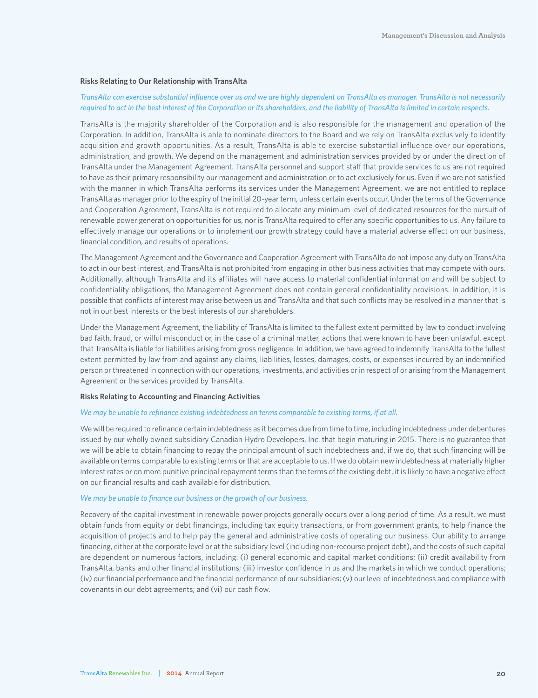#### **Risks Relating to Our Relationship with TransAlta**

### *TransAlta can exercise substantial influence over us and we are highly dependent on TransAlta as manager. TransAlta is not necessarily required to act in the best interest of the Corporation or its shareholders, and the liability of TransAlta is limited in certain respects.*

TransAlta is the majority shareholder of the Corporation and is also responsible for the management and operation of the Corporation. In addition, TransAlta is able to nominate directors to the Board and we rely on TransAlta exclusively to identify acquisition and growth opportunities. As a result, TransAlta is able to exercise substantial influence over our operations, administration, and growth. We depend on the management and administration services provided by or under the direction of TransAlta under the Management Agreement. TransAlta personnel and support staff that provide services to us are not required to have as their primary responsibility our management and administration or to act exclusively for us. Even if we are not satisfied with the manner in which TransAlta performs its services under the Management Agreement, we are not entitled to replace TransAlta as manager prior to the expiry of the initial 20-year term, unless certain events occur. Under the terms of the Governance and Cooperation Agreement, TransAlta is not required to allocate any minimum level of dedicated resources for the pursuit of renewable power generation opportunities for us, nor is TransAlta required to offer any specific opportunities to us. Any failure to effectively manage our operations or to implement our growth strategy could have a material adverse effect on our business, financial condition, and results of operations.

The Management Agreement and the Governance and Cooperation Agreement with TransAlta do not impose any duty on TransAlta to act in our best interest, and TransAlta is not prohibited from engaging in other business activities that may compete with ours. Additionally, although TransAlta and its affiliates will have access to material confidential information and will be subject to confidentiality obligations, the Management Agreement does not contain general confidentiality provisions. In addition, it is possible that conflicts of interest may arise between us and TransAlta and that such conflicts may be resolved in a manner that is not in our best interests or the best interests of our shareholders.

Under the Management Agreement, the liability of TransAlta is limited to the fullest extent permitted by law to conduct involving bad faith, fraud, or wilful misconduct or, in the case of a criminal matter, actions that were known to have been unlawful, except that TransAlta is liable for liabilities arising from gross negligence. In addition, we have agreed to indemnify TransAlta to the fullest extent permitted by law from and against any claims, liabilities, losses, damages, costs, or expenses incurred by an indemnified person or threatened in connection with our operations, investments, and activities or in respect of or arising from the Management Agreement or the services provided by TransAlta.

#### **Risks Relating to Accounting and Financing Activities**

### *We may be unable to refinance existing indebtedness on terms comparable to existing terms, if at all.*

We will be required to refinance certain indebtedness as it becomes due from time to time, including indebtedness under debentures issued by our wholly owned subsidiary Canadian Hydro Developers, Inc. that begin maturing in 2015. There is no guarantee that we will be able to obtain financing to repay the principal amount of such indebtedness and, if we do, that such financing will be available on terms comparable to existing terms or that are acceptable to us. If we do obtain new indebtedness at materially higher interest rates or on more punitive principal repayment terms than the terms of the existing debt, it is likely to have a negative effect on our financial results and cash available for distribution.

#### *We may be unable to finance our business or the growth of our business.*

Recovery of the capital investment in renewable power projects generally occurs over a long period of time. As a result, we must obtain funds from equity or debt financings, including tax equity transactions, or from government grants, to help finance the acquisition of projects and to help pay the general and administrative costs of operating our business. Our ability to arrange financing, either at the corporate level or at the subsidiary level (including non-recourse project debt), and the costs of such capital are dependent on numerous factors, including: (i) general economic and capital market conditions; (ii) credit availability from TransAlta, banks and other financial institutions; (iii) investor confidence in us and the markets in which we conduct operations; (iv) our financial performance and the financial performance of our subsidiaries; (v) our level of indebtedness and compliance with covenants in our debt agreements; and (vi) our cash flow.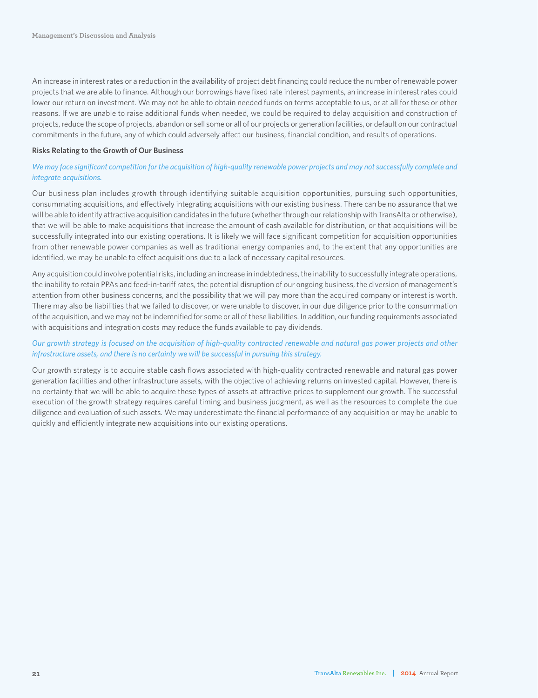An increase in interest rates or a reduction in the availability of project debt financing could reduce the number of renewable power projects that we are able to finance. Although our borrowings have fixed rate interest payments, an increase in interest rates could lower our return on investment. We may not be able to obtain needed funds on terms acceptable to us, or at all for these or other reasons. If we are unable to raise additional funds when needed, we could be required to delay acquisition and construction of projects, reduce the scope of projects, abandon or sell some or all of our projects or generation facilities, or default on our contractual commitments in the future, any of which could adversely affect our business, financial condition, and results of operations.

### **Risks Relating to the Growth of Our Business**

### We may face significant competition for the acquisition of high-quality renewable power projects and may not successfully complete and *integrate acquisitions.*

Our business plan includes growth through identifying suitable acquisition opportunities, pursuing such opportunities, consummating acquisitions, and effectively integrating acquisitions with our existing business. There can be no assurance that we will be able to identify attractive acquisition candidates in the future (whether through our relationship with TransAlta or otherwise), that we will be able to make acquisitions that increase the amount of cash available for distribution, or that acquisitions will be successfully integrated into our existing operations. It is likely we will face significant competition for acquisition opportunities from other renewable power companies as well as traditional energy companies and, to the extent that any opportunities are identified, we may be unable to effect acquisitions due to a lack of necessary capital resources.

Any acquisition could involve potential risks, including an increase in indebtedness, the inability to successfully integrate operations, the inability to retain PPAs and feed-in-tariff rates, the potential disruption of our ongoing business, the diversion of management's attention from other business concerns, and the possibility that we will pay more than the acquired company or interest is worth. There may also be liabilities that we failed to discover, or were unable to discover, in our due diligence prior to the consummation of the acquisition, and we may not be indemnified for some or all of these liabilities. In addition, our funding requirements associated with acquisitions and integration costs may reduce the funds available to pay dividends.

### *Our growth strategy is focused on the acquisition of high-quality contracted renewable and natural gas power projects and other infrastructure assets, and there is no certainty we will be successful in pursuing this strategy.*

Our growth strategy is to acquire stable cash flows associated with high-quality contracted renewable and natural gas power generation facilities and other infrastructure assets, with the objective of achieving returns on invested capital. However, there is no certainty that we will be able to acquire these types of assets at attractive prices to supplement our growth. The successful execution of the growth strategy requires careful timing and business judgment, as well as the resources to complete the due diligence and evaluation of such assets. We may underestimate the financial performance of any acquisition or may be unable to quickly and efficiently integrate new acquisitions into our existing operations.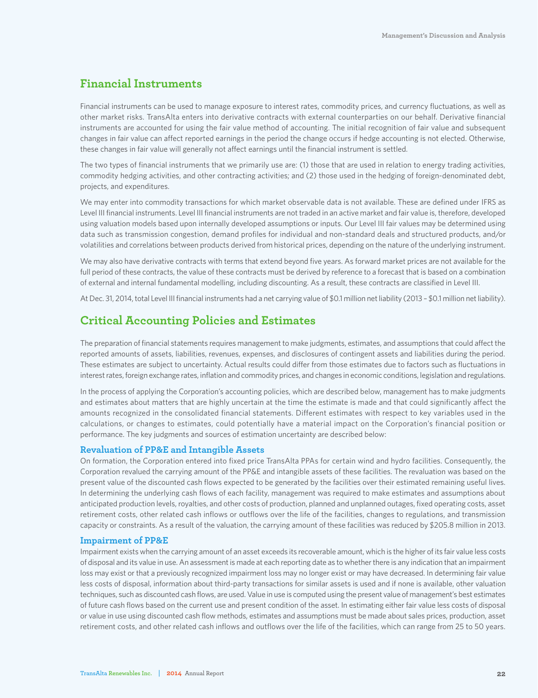### **Financial Instruments**

Financial instruments can be used to manage exposure to interest rates, commodity prices, and currency fluctuations, as well as other market risks. TransAlta enters into derivative contracts with external counterparties on our behalf. Derivative financial instruments are accounted for using the fair value method of accounting. The initial recognition of fair value and subsequent changes in fair value can affect reported earnings in the period the change occurs if hedge accounting is not elected. Otherwise, these changes in fair value will generally not affect earnings until the financial instrument is settled.

The two types of financial instruments that we primarily use are: (1) those that are used in relation to energy trading activities, commodity hedging activities, and other contracting activities; and (2) those used in the hedging of foreign-denominated debt, projects, and expenditures.

We may enter into commodity transactions for which market observable data is not available. These are defined under IFRS as Level III financial instruments. Level III financial instruments are not traded in an active market and fair value is, therefore, developed using valuation models based upon internally developed assumptions or inputs. Our Level III fair values may be determined using data such as transmission congestion, demand profiles for individual and non-standard deals and structured products, and/or volatilities and correlations between products derived from historical prices, depending on the nature of the underlying instrument.

We may also have derivative contracts with terms that extend beyond five years. As forward market prices are not available for the full period of these contracts, the value of these contracts must be derived by reference to a forecast that is based on a combination of external and internal fundamental modelling, including discounting. As a result, these contracts are classified in Level III.

At Dec. 31, 2014, total Level III financial instruments had a net carrying value of \$0.1 million net liability (2013 – \$0.1 million net liability).

### **Critical Accounting Policies and Estimates**

The preparation of financial statements requires management to make judgments, estimates, and assumptions that could affect the reported amounts of assets, liabilities, revenues, expenses, and disclosures of contingent assets and liabilities during the period. These estimates are subject to uncertainty. Actual results could differ from those estimates due to factors such as fluctuations in interest rates, foreign exchange rates, inflation and commodity prices, and changes in economic conditions, legislation and regulations.

In the process of applying the Corporation's accounting policies, which are described below, management has to make judgments and estimates about matters that are highly uncertain at the time the estimate is made and that could significantly affect the amounts recognized in the consolidated financial statements. Different estimates with respect to key variables used in the calculations, or changes to estimates, could potentially have a material impact on the Corporation's financial position or performance. The key judgments and sources of estimation uncertainty are described below:

### **Revaluation of PP&E and Intangible Assets**

On formation, the Corporation entered into fixed price TransAlta PPAs for certain wind and hydro facilities. Consequently, the Corporation revalued the carrying amount of the PP&E and intangible assets of these facilities. The revaluation was based on the present value of the discounted cash flows expected to be generated by the facilities over their estimated remaining useful lives. In determining the underlying cash flows of each facility, management was required to make estimates and assumptions about anticipated production levels, royalties, and other costs of production, planned and unplanned outages, fixed operating costs, asset retirement costs, other related cash inflows or outflows over the life of the facilities, changes to regulations, and transmission capacity or constraints. As a result of the valuation, the carrying amount of these facilities was reduced by \$205.8 million in 2013.

### **Impairment of PP&E**

Impairment exists when the carrying amount of an asset exceeds its recoverable amount, which is the higher of its fair value less costs of disposal and its value in use. An assessment is made at each reporting date as to whether there is any indication that an impairment loss may exist or that a previously recognized impairment loss may no longer exist or may have decreased. In determining fair value less costs of disposal, information about third-party transactions for similar assets is used and if none is available, other valuation techniques, such as discounted cash flows, are used. Value in use is computed using the present value of management's best estimates of future cash flows based on the current use and present condition of the asset. In estimating either fair value less costs of disposal or value in use using discounted cash flow methods, estimates and assumptions must be made about sales prices, production, asset retirement costs, and other related cash inflows and outflows over the life of the facilities, which can range from 25 to 50 years.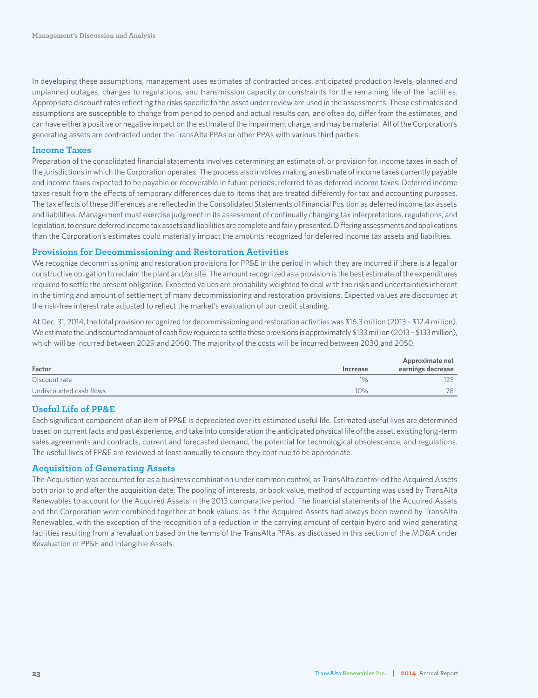In developing these assumptions, management uses estimates of contracted prices, anticipated production levels, planned and unplanned outages, changes to regulations, and transmission capacity or constraints for the remaining life of the facilities. Appropriate discount rates reflecting the risks specific to the asset under review are used in the assessments. These estimates and assumptions are susceptible to change from period to period and actual results can, and often do, differ from the estimates, and can have either a positive or negative impact on the estimate of the impairment charge, and may be material. All of the Corporation's generating assets are contracted under the TransAlta PPAs or other PPAs with various third parties.

### **Income Taxes**

Preparation of the consolidated financial statements involves determining an estimate of, or provision for, income taxes in each of the jurisdictions in which the Corporation operates. The process also involves making an estimate of income taxes currently payable and income taxes expected to be payable or recoverable in future periods, referred to as deferred income taxes. Deferred income taxes result from the effects of temporary differences due to items that are treated differently for tax and accounting purposes. The tax effects of these differences are reflected in the Consolidated Statements of Financial Position as deferred income tax assets and liabilities. Management must exercise judgment in its assessment of continually changing tax interpretations, regulations, and legislation, to ensure deferred income tax assets and liabilities are complete and fairly presented. Differing assessments and applications than the Corporation's estimates could materially impact the amounts recognized for deferred income tax assets and liabilities.

### **Provisions for Decommissioning and Restoration Activities**

We recognize decommissioning and restoration provisions for PP&E in the period in which they are incurred if there is a legal or constructive obligation to reclaim the plant and/or site. The amount recognized as a provision is the best estimate of the expenditures required to settle the present obligation. Expected values are probability weighted to deal with the risks and uncertainties inherent in the timing and amount of settlement of many decommissioning and restoration provisions. Expected values are discounted at the risk-free interest rate adjusted to reflect the market's evaluation of our credit standing.

At Dec. 31, 2014, the total provision recognized for decommissioning and restoration activities was \$16.3 million (2013 – \$12.4 million). We estimate the undiscounted amount of cash flow required to settle these provisions is approximately \$133 million (2013 - \$133 million), which will be incurred between 2029 and 2060. The majority of the costs will be incurred between 2030 and 2050.

| Factor                  | Increase | Approximate net<br>earnings decrease |
|-------------------------|----------|--------------------------------------|
| Discount rate           | $1\%$    | 123                                  |
| Undiscounted cash flows | 10%      | 78                                   |

### **Useful Life of PP&E**

Each significant component of an item of PP&E is depreciated over its estimated useful life. Estimated useful lives are determined based on current facts and past experience, and take into consideration the anticipated physical life of the asset, existing long-term sales agreements and contracts, current and forecasted demand, the potential for technological obsolescence, and regulations. The useful lives of PP&E are reviewed at least annually to ensure they continue to be appropriate.

### **Acquisition of Generating Assets**

The Acquisition was accounted for as a business combination under common control, as TransAlta controlled the Acquired Assets both prior to and after the acquisition date. The pooling of interests, or book value, method of accounting was used by TransAlta Renewables to account for the Acquired Assets in the 2013 comparative period. The financial statements of the Acquired Assets and the Corporation were combined together at book values, as if the Acquired Assets had always been owned by TransAlta Renewables, with the exception of the recognition of a reduction in the carrying amount of certain hydro and wind generating facilities resulting from a revaluation based on the terms of the TransAlta PPAs, as discussed in this section of the MD&A under Revaluation of PP&E and Intangible Assets.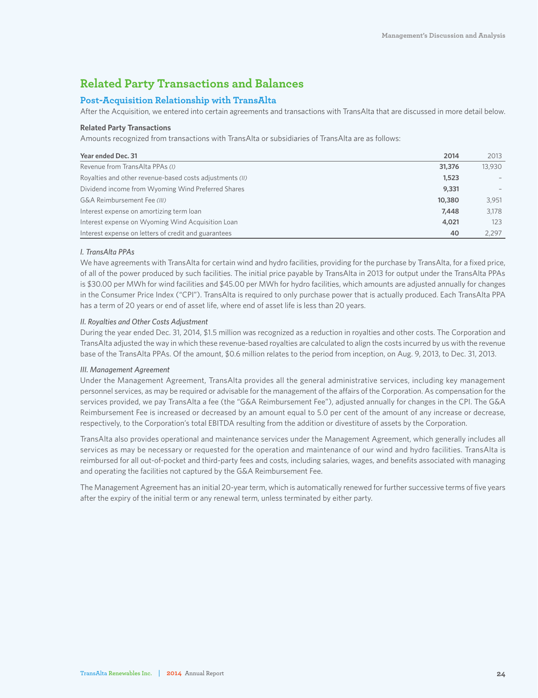### **Related Party Transactions and Balances**

### **Post-Acquisition Relationship with TransAlta**

After the Acquisition, we entered into certain agreements and transactions with TransAlta that are discussed in more detail below.

### **Related Party Transactions**

Amounts recognized from transactions with TransAlta or subsidiaries of TransAlta are as follows:

| Year ended Dec. 31                                       | 2014   | 2013   |
|----------------------------------------------------------|--------|--------|
| Revenue from TransAlta PPAs (I)                          | 31,376 | 13.930 |
| Royalties and other revenue-based costs adjustments (II) | 1,523  |        |
| Dividend income from Wyoming Wind Preferred Shares       | 9,331  |        |
| G&A Reimbursement Fee (III)                              | 10,380 | 3,951  |
| Interest expense on amortizing term loan                 | 7,448  | 3,178  |
| Interest expense on Wyoming Wind Acquisition Loan        | 4,021  | 123    |
| Interest expense on letters of credit and guarantees     | 40     | 2.297  |

### *I. TransAlta PPAs*

We have agreements with TransAlta for certain wind and hydro facilities, providing for the purchase by TransAlta, for a fixed price, of all of the power produced by such facilities. The initial price payable by TransAlta in 2013 for output under the TransAlta PPAs is \$30.00 per MWh for wind facilities and \$45.00 per MWh for hydro facilities, which amounts are adjusted annually for changes in the Consumer Price Index ("CPI"). TransAlta is required to only purchase power that is actually produced. Each TransAlta PPA has a term of 20 years or end of asset life, where end of asset life is less than 20 years.

### *II. Royalties and Other Costs Adjustment*

During the year ended Dec. 31, 2014, \$1.5 million was recognized as a reduction in royalties and other costs. The Corporation and TransAlta adjusted the way in which these revenue-based royalties are calculated to align the costs incurred by us with the revenue base of the TransAlta PPAs. Of the amount, \$0.6 million relates to the period from inception, on Aug. 9, 2013, to Dec. 31, 2013.

### *III. Management Agreement*

Under the Management Agreement, TransAlta provides all the general administrative services, including key management personnel services, as may be required or advisable for the management of the affairs of the Corporation. As compensation for the services provided, we pay TransAlta a fee (the "G&A Reimbursement Fee"), adjusted annually for changes in the CPI. The G&A Reimbursement Fee is increased or decreased by an amount equal to 5.0 per cent of the amount of any increase or decrease, respectively, to the Corporation's total EBITDA resulting from the addition or divestiture of assets by the Corporation.

TransAlta also provides operational and maintenance services under the Management Agreement, which generally includes all services as may be necessary or requested for the operation and maintenance of our wind and hydro facilities. TransAlta is reimbursed for all out-of-pocket and third-party fees and costs, including salaries, wages, and benefits associated with managing and operating the facilities not captured by the G&A Reimbursement Fee.

The Management Agreement has an initial 20-year term, which is automatically renewed for further successive terms of five years after the expiry of the initial term or any renewal term, unless terminated by either party.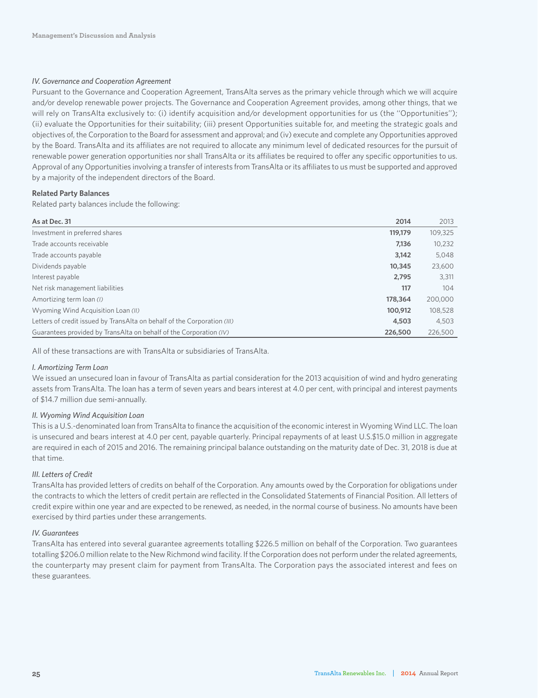### *IV. Governance and Cooperation Agreement*

Pursuant to the Governance and Cooperation Agreement, TransAlta serves as the primary vehicle through which we will acquire and/or develop renewable power projects. The Governance and Cooperation Agreement provides, among other things, that we will rely on TransAlta exclusively to: (i) identify acquisition and/or development opportunities for us (the "Opportunities"); (ii) evaluate the Opportunities for their suitability; (iii) present Opportunities suitable for, and meeting the strategic goals and objectives of, the Corporation to the Board for assessment and approval; and (iv) execute and complete any Opportunities approved by the Board. TransAlta and its affiliates are not required to allocate any minimum level of dedicated resources for the pursuit of renewable power generation opportunities nor shall TransAlta or its affiliates be required to offer any specific opportunities to us. Approval of any Opportunities involving a transfer of interests from TransAlta or its affiliates to us must be supported and approved by a majority of the independent directors of the Board.

### **Related Party Balances**

Related party balances include the following:

| As at Dec. 31                                                            | 2014    | 2013    |
|--------------------------------------------------------------------------|---------|---------|
| Investment in preferred shares                                           | 119,179 | 109,325 |
| Trade accounts receivable                                                | 7.136   | 10,232  |
| Trade accounts payable                                                   | 3,142   | 5,048   |
| Dividends payable                                                        | 10,345  | 23,600  |
| Interest payable                                                         | 2.795   | 3,311   |
| Net risk management liabilities                                          | 117     | 104     |
| Amortizing term loan (1)                                                 | 178,364 | 200,000 |
| Wyoming Wind Acquisition Loan (II)                                       | 100,912 | 108,528 |
| Letters of credit issued by TransAlta on behalf of the Corporation (III) | 4,503   | 4,503   |
| Guarantees provided by TransAlta on behalf of the Corporation (IV)       | 226,500 | 226,500 |

All of these transactions are with TransAlta or subsidiaries of TransAlta.

#### *I. Amortizing Term Loan*

We issued an unsecured loan in favour of TransAlta as partial consideration for the 2013 acquisition of wind and hydro generating assets from TransAlta. The loan has a term of seven years and bears interest at 4.0 per cent, with principal and interest payments of \$14.7 million due semi-annually.

### *II. Wyoming Wind Acquisition Loan*

This is a U.S.-denominated loan from TransAlta to finance the acquisition of the economic interest in Wyoming Wind LLC. The loan is unsecured and bears interest at 4.0 per cent, payable quarterly. Principal repayments of at least U.S.\$15.0 million in aggregate are required in each of 2015 and 2016. The remaining principal balance outstanding on the maturity date of Dec. 31, 2018 is due at that time.

### *III. Letters of Credit*

TransAlta has provided letters of credits on behalf of the Corporation. Any amounts owed by the Corporation for obligations under the contracts to which the letters of credit pertain are reflected in the Consolidated Statements of Financial Position. All letters of credit expire within one year and are expected to be renewed, as needed, in the normal course of business. No amounts have been exercised by third parties under these arrangements.

### *IV. Guarantees*

TransAlta has entered into several guarantee agreements totalling \$226.5 million on behalf of the Corporation. Two guarantees totalling \$206.0 million relate to the New Richmond wind facility. If the Corporation does not perform under the related agreements, the counterparty may present claim for payment from TransAlta. The Corporation pays the associated interest and fees on these guarantees.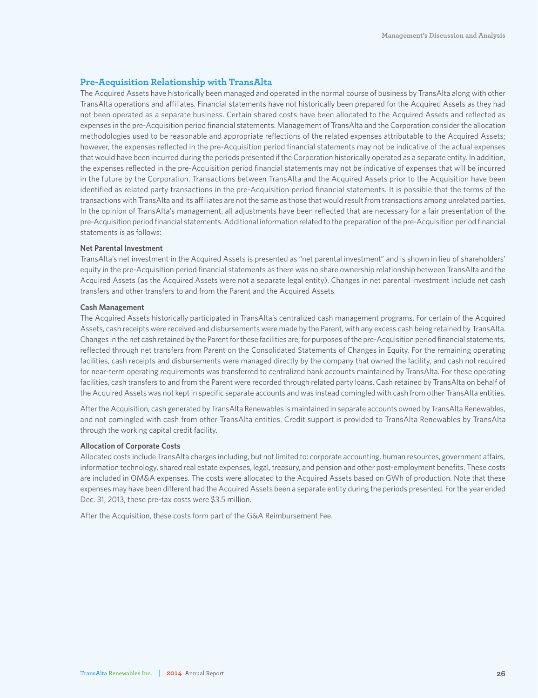### **Pre-Acquisition Relationship with TransAlta**

The Acquired Assets have historically been managed and operated in the normal course of business by TransAlta along with other TransAlta operations and affiliates. Financial statements have not historically been prepared for the Acquired Assets as they had not been operated as a separate business. Certain shared costs have been allocated to the Acquired Assets and reflected as expenses in the pre-Acquisition period financial statements. Management of TransAlta and the Corporation consider the allocation methodologies used to be reasonable and appropriate reflections of the related expenses attributable to the Acquired Assets; however, the expenses reflected in the pre-Acquisition period financial statements may not be indicative of the actual expenses that would have been incurred during the periods presented if the Corporation historically operated as a separate entity. In addition, the expenses reflected in the pre-Acquisition period financial statements may not be indicative of expenses that will be incurred in the future by the Corporation. Transactions between TransAlta and the Acquired Assets prior to the Acquisition have been identified as related party transactions in the pre-Acquisition period financial statements. It is possible that the terms of the transactions with TransAlta and its affiliates are not the same as those that would result from transactions among unrelated parties. In the opinion of TransAlta's management, all adjustments have been reflected that are necessary for a fair presentation of the pre-Acquisition period financial statements. Additional information related to the preparation of the pre-Acquisition period financial statements is as follows:

### **Net Parental Investment**

TransAlta's net investment in the Acquired Assets is presented as "net parental investment" and is shown in lieu of shareholders' equity in the pre-Acquisition period financial statements as there was no share ownership relationship between TransAlta and the Acquired Assets (as the Acquired Assets were not a separate legal entity). Changes in net parental investment include net cash transfers and other transfers to and from the Parent and the Acquired Assets.

#### **Cash Management**

The Acquired Assets historically participated in TransAlta's centralized cash management programs. For certain of the Acquired Assets, cash receipts were received and disbursements were made by the Parent, with any excess cash being retained by TransAlta. Changes in the net cash retained by the Parent for these facilities are, for purposes of the pre-Acquisition period financial statements, reflected through net transfers from Parent on the Consolidated Statements of Changes in Equity. For the remaining operating facilities, cash receipts and disbursements were managed directly by the company that owned the facility, and cash not required for near-term operating requirements was transferred to centralized bank accounts maintained by TransAlta. For these operating facilities, cash transfers to and from the Parent were recorded through related party loans. Cash retained by TransAlta on behalf of the Acquired Assets was not kept in specific separate accounts and was instead comingled with cash from other TransAlta entities.

After the Acquisition, cash generated by TransAlta Renewables is maintained in separate accounts owned by TransAlta Renewables, and not comingled with cash from other TransAlta entities. Credit support is provided to TransAlta Renewables by TransAlta through the working capital credit facility.

### **Allocation of Corporate Costs**

Allocated costs include TransAlta charges including, but not limited to: corporate accounting, human resources, government affairs, information technology, shared real estate expenses, legal, treasury, and pension and other post-employment benefits. These costs are included in OM&A expenses. The costs were allocated to the Acquired Assets based on GWh of production. Note that these expenses may have been different had the Acquired Assets been a separate entity during the periods presented. For the year ended Dec. 31, 2013, these pre-tax costs were \$3.5 million.

After the Acquisition, these costs form part of the G&A Reimbursement Fee.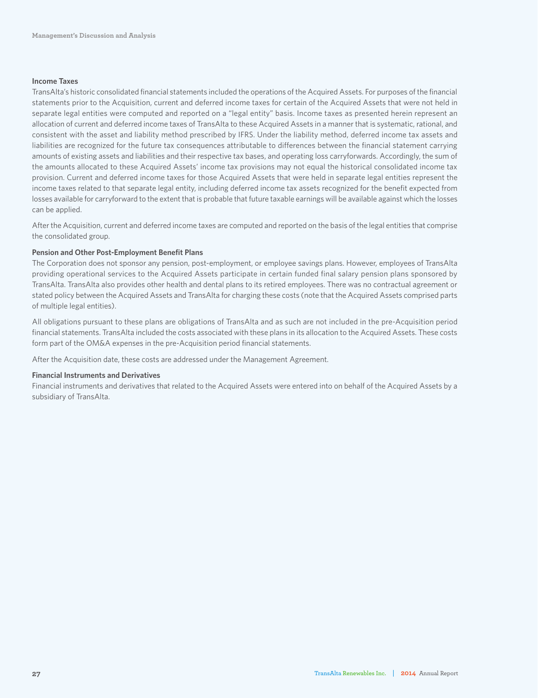### **Income Taxes**

TransAlta's historic consolidated financial statements included the operations of the Acquired Assets. For purposes of the financial statements prior to the Acquisition, current and deferred income taxes for certain of the Acquired Assets that were not held in separate legal entities were computed and reported on a "legal entity" basis. Income taxes as presented herein represent an allocation of current and deferred income taxes of TransAlta to these Acquired Assets in a manner that is systematic, rational, and consistent with the asset and liability method prescribed by IFRS. Under the liability method, deferred income tax assets and liabilities are recognized for the future tax consequences attributable to differences between the financial statement carrying amounts of existing assets and liabilities and their respective tax bases, and operating loss carryforwards. Accordingly, the sum of the amounts allocated to these Acquired Assets' income tax provisions may not equal the historical consolidated income tax provision. Current and deferred income taxes for those Acquired Assets that were held in separate legal entities represent the income taxes related to that separate legal entity, including deferred income tax assets recognized for the benefit expected from losses available for carryforward to the extent that is probable that future taxable earnings will be available against which the losses can be applied.

After the Acquisition, current and deferred income taxes are computed and reported on the basis of the legal entities that comprise the consolidated group.

### **Pension and Other Post-Employment Benefit Plans**

The Corporation does not sponsor any pension, post-employment, or employee savings plans. However, employees of TransAlta providing operational services to the Acquired Assets participate in certain funded final salary pension plans sponsored by TransAlta. TransAlta also provides other health and dental plans to its retired employees. There was no contractual agreement or stated policy between the Acquired Assets and TransAlta for charging these costs (note that the Acquired Assets comprised parts of multiple legal entities).

All obligations pursuant to these plans are obligations of TransAlta and as such are not included in the pre-Acquisition period financial statements. TransAlta included the costs associated with these plans in its allocation to the Acquired Assets. These costs form part of the OM&A expenses in the pre-Acquisition period financial statements.

After the Acquisition date, these costs are addressed under the Management Agreement.

### **Financial Instruments and Derivatives**

Financial instruments and derivatives that related to the Acquired Assets were entered into on behalf of the Acquired Assets by a subsidiary of TransAlta.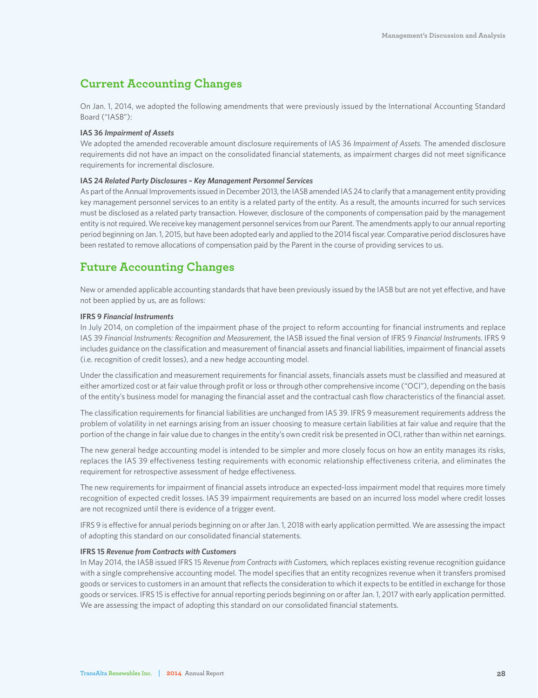### **Current Accounting Changes**

On Jan. 1, 2014, we adopted the following amendments that were previously issued by the International Accounting Standard Board ("IASB"):

#### **IAS 36** *Impairment of Assets*

We adopted the amended recoverable amount disclosure requirements of IAS 36 *Impairment of Assets*. The amended disclosure requirements did not have an impact on the consolidated financial statements, as impairment charges did not meet significance requirements for incremental disclosure.

### **IAS 24** *Related Party Disclosures – Key Management Personnel Services*

As part of the Annual Improvements issued in December 2013, the IASB amended IAS 24 to clarify that a management entity providing key management personnel services to an entity is a related party of the entity. As a result, the amounts incurred for such services must be disclosed as a related party transaction. However, disclosure of the components of compensation paid by the management entity is not required. We receive key management personnel services from our Parent. The amendments apply to our annual reporting period beginning on Jan. 1, 2015, but have been adopted early and applied to the 2014 fiscal year. Comparative period disclosures have been restated to remove allocations of compensation paid by the Parent in the course of providing services to us.

### **Future Accounting Changes**

New or amended applicable accounting standards that have been previously issued by the IASB but are not yet effective, and have not been applied by us, are as follows:

### **IFRS 9** *Financial Instruments*

In July 2014, on completion of the impairment phase of the project to reform accounting for financial instruments and replace IAS 39 *Financial Instruments: Recognition and Measurement*, the IASB issued the final version of IFRS 9 *Financial Instruments*. IFRS 9 includes guidance on the classification and measurement of financial assets and financial liabilities, impairment of financial assets (i.e. recognition of credit losses), and a new hedge accounting model.

Under the classification and measurement requirements for financial assets, financials assets must be classified and measured at either amortized cost or at fair value through profit or loss or through other comprehensive income ("OCI"), depending on the basis of the entity's business model for managing the financial asset and the contractual cash flow characteristics of the financial asset.

The classification requirements for financial liabilities are unchanged from IAS 39. IFRS 9 measurement requirements address the problem of volatility in net earnings arising from an issuer choosing to measure certain liabilities at fair value and require that the portion of the change in fair value due to changes in the entity's own credit risk be presented in OCI, rather than within net earnings.

The new general hedge accounting model is intended to be simpler and more closely focus on how an entity manages its risks, replaces the IAS 39 effectiveness testing requirements with economic relationship effectiveness criteria, and eliminates the requirement for retrospective assessment of hedge effectiveness.

The new requirements for impairment of financial assets introduce an expected-loss impairment model that requires more timely recognition of expected credit losses. IAS 39 impairment requirements are based on an incurred loss model where credit losses are not recognized until there is evidence of a trigger event.

IFRS 9 is effective for annual periods beginning on or after Jan. 1, 2018 with early application permitted. We are assessing the impact of adopting this standard on our consolidated financial statements.

### **IFRS 15** *Revenue from Contracts with Customers*

In May 2014, the IASB issued IFRS 15 *Revenue from Contracts with Customers,* which replaces existing revenue recognition guidance with a single comprehensive accounting model. The model specifies that an entity recognizes revenue when it transfers promised goods or services to customers in an amount that reflects the consideration to which it expects to be entitled in exchange for those goods or services. IFRS 15 is effective for annual reporting periods beginning on or after Jan. 1, 2017 with early application permitted. We are assessing the impact of adopting this standard on our consolidated financial statements.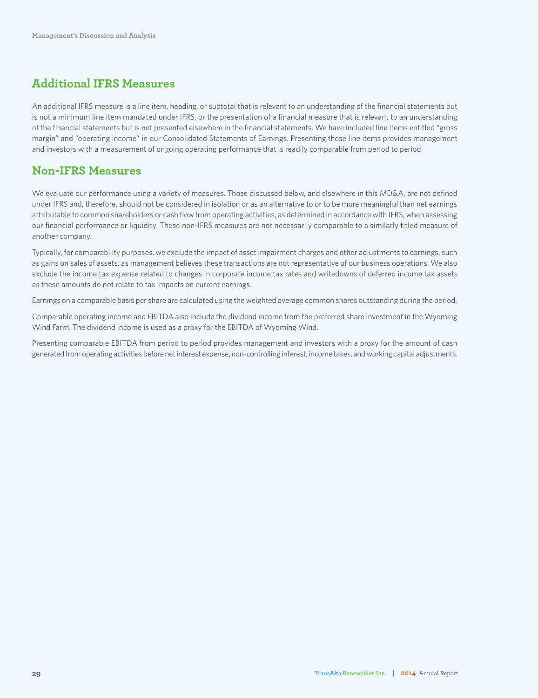### **Additional IFRS Measures**

An additional IFRS measure is a line item, heading, or subtotal that is relevant to an understanding of the financial statements but is not a minimum line item mandated under IFRS, or the presentation of a financial measure that is relevant to an understanding of the financial statements but is not presented elsewhere in the financial statements. We have included line items entitled "gross margin" and "operating income" in our Consolidated Statements of Earnings. Presenting these line items provides management and investors with a measurement of ongoing operating performance that is readily comparable from period to period.

### **Non-IFRS Measures**

We evaluate our performance using a variety of measures. Those discussed below, and elsewhere in this MD&A, are not defined under IFRS and, therefore, should not be considered in isolation or as an alternative to or to be more meaningful than net earnings attributable to common shareholders or cash flow from operating activities, as determined in accordance with IFRS, when assessing our financial performance or liquidity. These non-IFRS measures are not necessarily comparable to a similarly titled measure of another company.

Typically, for comparability purposes, we exclude the impact of asset impairment charges and other adjustments to earnings, such as gains on sales of assets, as management believes these transactions are not representative of our business operations. We also exclude the income tax expense related to changes in corporate income tax rates and writedowns of deferred income tax assets as these amounts do not relate to tax impacts on current earnings.

Earnings on a comparable basis per share are calculated using the weighted average common shares outstanding during the period.

Comparable operating income and EBITDA also include the dividend income from the preferred share investment in the Wyoming Wind Farm. The dividend income is used as a proxy for the EBITDA of Wyoming Wind.

Presenting comparable EBITDA from period to period provides management and investors with a proxy for the amount of cash generated from operating activities before net interest expense, non-controlling interest, income taxes, and working capital adjustments.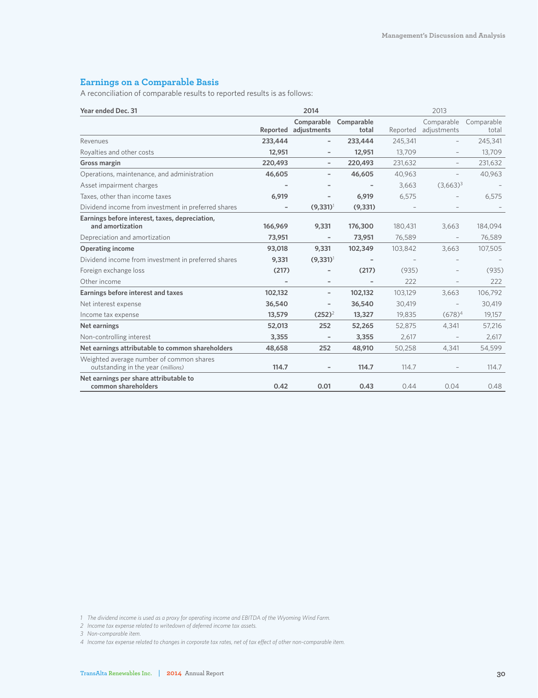### **Earnings on a Comparable Basis**

A reconciliation of comparable results to reported results is as follows:

| 2014<br>Year ended Dec. 31                                                     |          |                          | 2013                         |          |                          |            |
|--------------------------------------------------------------------------------|----------|--------------------------|------------------------------|----------|--------------------------|------------|
|                                                                                |          | Comparable               | Comparable                   |          | Comparable               | Comparable |
|                                                                                | Reported | adjustments              | total                        | Reported | adjustments              | total      |
| Revenues                                                                       | 233,444  |                          | 233,444                      | 245,341  | $\qquad \qquad -$        | 245,341    |
| Royalties and other costs                                                      | 12,951   | -                        | 12,951                       | 13,709   | $\qquad \qquad -$        | 13,709     |
| Gross margin                                                                   | 220,493  | $\overline{\phantom{0}}$ | 220,493                      | 231,632  | $\qquad \qquad -$        | 231,632    |
| Operations, maintenance, and administration                                    | 46,605   |                          | 46,605                       | 40,963   | $\qquad \qquad -$        | 40,963     |
| Asset impairment charges                                                       |          |                          |                              | 3,663    | $(3,663)^3$              |            |
| Taxes, other than income taxes                                                 | 6,919    |                          | 6,919                        | 6,575    |                          | 6,575      |
| Dividend income from investment in preferred shares                            |          | $(9,331)$ <sup>1</sup>   | (9, 331)                     |          |                          |            |
| Earnings before interest, taxes, depreciation,<br>and amortization             | 166,969  | 9,331                    | 176,300                      | 180,431  | 3,663                    | 184,094    |
| Depreciation and amortization                                                  | 73,951   | $\overline{\phantom{0}}$ | 73,951                       | 76,589   |                          | 76,589     |
| <b>Operating income</b>                                                        | 93,018   | 9,331                    | 102,349                      | 103,842  | 3,663                    | 107,505    |
| Dividend income from investment in preferred shares                            | 9,331    | $(9,331)$ <sup>1</sup>   | $\qquad \qquad \blacksquare$ |          |                          |            |
| Foreign exchange loss                                                          | (217)    |                          | (217)                        | (935)    |                          | (935)      |
| Other income                                                                   |          | $\overline{\phantom{0}}$ | $\qquad \qquad -$            | 222      |                          | 222        |
| Earnings before interest and taxes                                             | 102,132  | $\qquad \qquad -$        | 102,132                      | 103,129  | 3,663                    | 106,792    |
| Net interest expense                                                           | 36,540   |                          | 36,540                       | 30,419   | $\overline{\phantom{0}}$ | 30,419     |
| Income tax expense                                                             | 13,579   | $(252)^2$                | 13,327                       | 19,835   | $(678)^4$                | 19,157     |
| Net earnings                                                                   | 52,013   | 252                      | 52,265                       | 52,875   | 4,341                    | 57,216     |
| Non-controlling interest                                                       | 3,355    | $\overline{\phantom{a}}$ | 3,355                        | 2,617    |                          | 2,617      |
| Net earnings attributable to common shareholders                               | 48,658   | 252                      | 48,910                       | 50,258   | 4,341                    | 54,599     |
| Weighted average number of common shares<br>outstanding in the year (millions) | 114.7    |                          | 114.7                        | 114.7    |                          | 114.7      |
| Net earnings per share attributable to<br>common shareholders                  | 0.42     | 0.01                     | 0.43                         | 0.44     | 0.04                     | 0.48       |

*1 The dividend income is used as a proxy for operating income and EBITDA of the Wyoming Wind Farm.*

*2 Income tax expense related to writedown of deferred income tax assets.*

*3 Non-comparable item.*

*4 Income tax expense related to changes in corporate tax rates, net of tax effect of other non-comparable item.*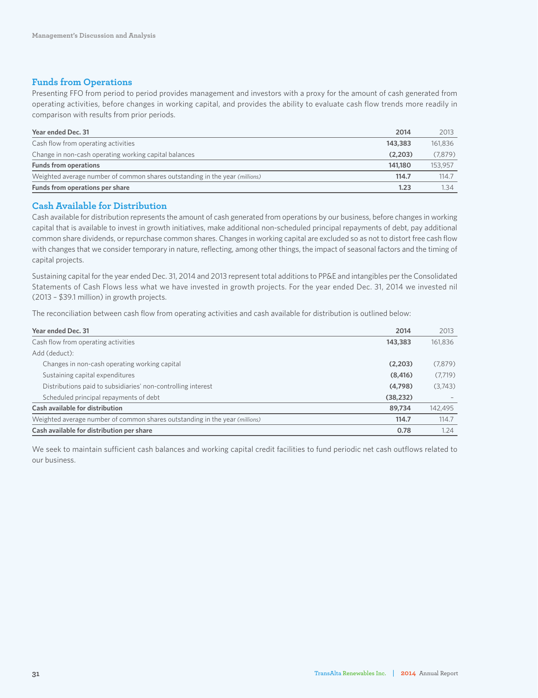### **Funds from Operations**

Presenting FFO from period to period provides management and investors with a proxy for the amount of cash generated from operating activities, before changes in working capital, and provides the ability to evaluate cash flow trends more readily in comparison with results from prior periods.

| Year ended Dec. 31                                                          | 2014    | 2013    |
|-----------------------------------------------------------------------------|---------|---------|
| Cash flow from operating activities                                         | 143,383 | 161.836 |
| Change in non-cash operating working capital balances                       | (2.203) | (7.879) |
| <b>Funds from operations</b>                                                | 141.180 | 153.957 |
| Weighted average number of common shares outstanding in the year (millions) | 114.7   | 114.7   |
| Funds from operations per share                                             | 1.23    | 1.34    |

### **Cash Available for Distribution**

Cash available for distribution represents the amount of cash generated from operations by our business, before changes in working capital that is available to invest in growth initiatives, make additional non-scheduled principal repayments of debt, pay additional common share dividends, or repurchase common shares. Changes in working capital are excluded so as not to distort free cash flow with changes that we consider temporary in nature, reflecting, among other things, the impact of seasonal factors and the timing of capital projects.

Sustaining capital for the year ended Dec. 31, 2014 and 2013 represent total additions to PP&E and intangibles per the Consolidated Statements of Cash Flows less what we have invested in growth projects. For the year ended Dec. 31, 2014 we invested nil (2013 – \$39.1 million) in growth projects.

The reconciliation between cash flow from operating activities and cash available for distribution is outlined below:

| Year ended Dec. 31                                                          | 2014      | 2013    |
|-----------------------------------------------------------------------------|-----------|---------|
| Cash flow from operating activities                                         | 143,383   | 161,836 |
| Add (deduct):                                                               |           |         |
| Changes in non-cash operating working capital                               | (2,203)   | (7,879) |
| Sustaining capital expenditures                                             | (8, 416)  | (7,719) |
| Distributions paid to subsidiaries' non-controlling interest                | (4,798)   | (3,743) |
| Scheduled principal repayments of debt                                      | (38, 232) |         |
| Cash available for distribution                                             | 89,734    | 142,495 |
| Weighted average number of common shares outstanding in the year (millions) | 114.7     | 114.7   |
| Cash available for distribution per share                                   | 0.78      | 1.24    |

We seek to maintain sufficient cash balances and working capital credit facilities to fund periodic net cash outflows related to our business.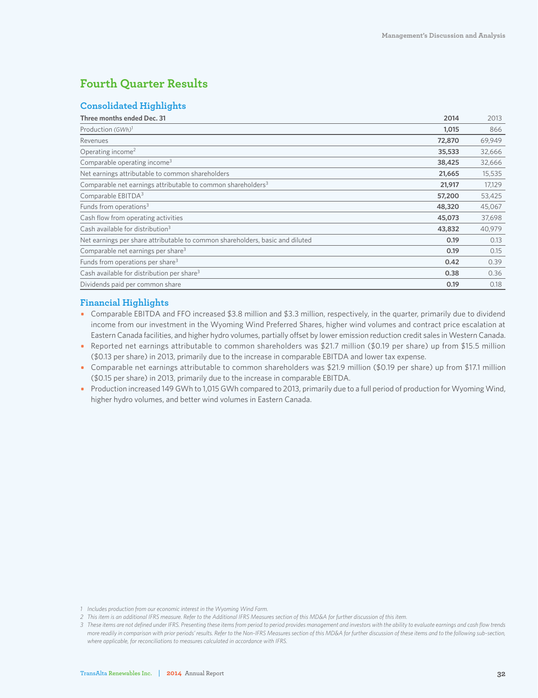### **Fourth Quarter Results**

### **Consolidated Highlights**

| Three months ended Dec. 31<br>2014                                                    | 2013   |
|---------------------------------------------------------------------------------------|--------|
| Production (GWh) <sup>1</sup><br>1,015                                                | 866    |
| 72,870<br>Revenues                                                                    | 69,949 |
| Operating income <sup>2</sup><br>35,533                                               | 32,666 |
| Comparable operating income <sup>3</sup><br>38,425                                    | 32,666 |
| Net earnings attributable to common shareholders<br>21,665                            | 15,535 |
| Comparable net earnings attributable to common shareholders <sup>3</sup><br>21,917    | 17,129 |
| Comparable EBITDA <sup>3</sup><br>57,200                                              | 53,425 |
| Funds from operations <sup>3</sup><br>48,320                                          | 45,067 |
| Cash flow from operating activities<br>45,073                                         | 37,698 |
| Cash available for distribution <sup>3</sup><br>43,832                                | 40,979 |
| Net earnings per share attributable to common shareholders, basic and diluted<br>0.19 | 0.13   |
| Comparable net earnings per share <sup>3</sup><br>0.19                                | 0.15   |
| Funds from operations per share <sup>3</sup><br>0.42                                  | 0.39   |
| Cash available for distribution per share <sup>3</sup><br>0.38                        | 0.36   |
| Dividends paid per common share<br>0.19                                               | 0.18   |

### **Financial Highlights**

- Comparable EBITDA and FFO increased \$3.8 million and \$3.3 million, respectively, in the quarter, primarily due to dividend income from our investment in the Wyoming Wind Preferred Shares, higher wind volumes and contract price escalation at Eastern Canada facilities, and higher hydro volumes, partially offset by lower emission reduction credit sales in Western Canada.
- Reported net earnings attributable to common shareholders was \$21.7 million (\$0.19 per share) up from \$15.5 million (\$0.13 per share) in 2013, primarily due to the increase in comparable EBITDA and lower tax expense.
- Comparable net earnings attributable to common shareholders was \$21.9 million (\$0.19 per share) up from \$17.1 million (\$0.15 per share) in 2013, primarily due to the increase in comparable EBITDA.
- Production increased 149 GWh to 1,015 GWh compared to 2013, primarily due to a full period of production for Wyoming Wind, higher hydro volumes, and better wind volumes in Eastern Canada.

- *1 Includes production from our economic interest in the Wyoming Wind Farm.*
- *2 This item is an additional IFRS measure. Refer to the Additional IFRS Measures section of this MD&A for further discussion of this item.*

*<sup>3</sup> These items are not defined under IFRS. Presenting these items from period to period provides management and investors with the ability to evaluate earnings and cash flow trends more readily in comparison with prior periods' results. Refer to the Non-IFRS Measures section of this MD&A for further discussion of these items and to the following sub-section, where applicable, for reconciliations to measures calculated in accordance with IFRS.*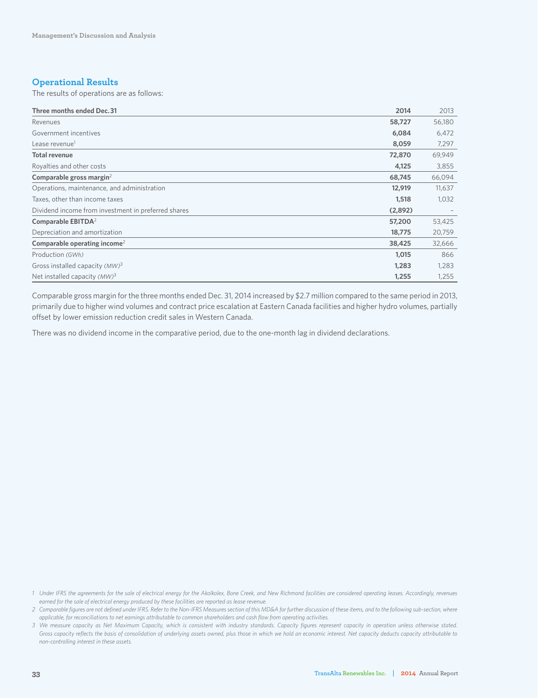### **Operational Results**

The results of operations are as follows:

| Three months ended Dec. 31                          | 2014    | 2013   |
|-----------------------------------------------------|---------|--------|
| Revenues                                            | 58,727  | 56,180 |
| Government incentives                               | 6,084   | 6,472  |
| Lease revenue <sup>1</sup>                          | 8,059   | 7,297  |
| <b>Total revenue</b>                                | 72,870  | 69,949 |
| Royalties and other costs                           | 4,125   | 3,855  |
| Comparable gross margin <sup>2</sup>                | 68,745  | 66,094 |
| Operations, maintenance, and administration         | 12,919  | 11,637 |
| Taxes, other than income taxes                      | 1,518   | 1,032  |
| Dividend income from investment in preferred shares | (2,892) |        |
| Comparable EBITDA <sup>2</sup>                      | 57,200  | 53,425 |
| Depreciation and amortization                       | 18,775  | 20,759 |
| Comparable operating income <sup>2</sup>            | 38,425  | 32,666 |
| Production (GWh)                                    | 1,015   | 866    |
| Gross installed capacity (MW) <sup>3</sup>          | 1,283   | 1,283  |
| Net installed capacity $(MW)^3$                     | 1,255   | 1,255  |

Comparable gross margin for the three months ended Dec. 31, 2014 increased by \$2.7 million compared to the same period in 2013, primarily due to higher wind volumes and contract price escalation at Eastern Canada facilities and higher hydro volumes, partially offset by lower emission reduction credit sales in Western Canada.

There was no dividend income in the comparative period, due to the one-month lag in dividend declarations.

*<sup>1</sup> Under IFRS the agreements for the sale of electrical energy for the Akolkolex, Bone Creek, and New Richmond facilities are considered operating leases. Accordingly, revenues earned for the sale of electrical energy produced by these facilities are reported as lease revenue.*

*<sup>2</sup> Comparable figures are not defined under IFRS. Refer to the Non-IFRS Measures section of this MD&A for further discussion of these items, and to the following sub-section, where applicable, for reconciliations to net earnings attributable to common shareholders and cash flow from operating activities.*

*<sup>3</sup> We measure capacity as Net Maximum Capacity, which is consistent with industry standards. Capacity figures represent capacity in operation unless otherwise stated. Gross capacity reflects the basis of consolidation of underlying assets owned, plus those in which we hold an economic interest. Net capacity deducts capacity attributable to non-controlling interest in these assets.*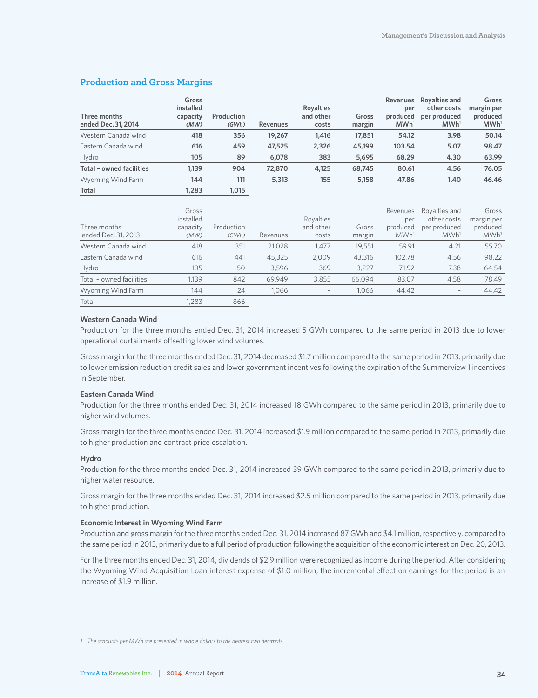### **Production and Gross Margins**

| Three months<br>ended Dec. 31, 2014 | Gross<br>installed<br>capacity<br>(MW) | Production<br>(GWh) | <b>Revenues</b> | <b>Royalties</b><br>and other<br>costs | Gross<br>margin | <b>Revenues</b><br>per<br>produced<br>MWh <sup>1</sup> | Rovalties and<br>other costs<br>per produced<br>MWh <sup>1</sup> | Gross<br>margin per<br>produced<br>MWh <sup>1</sup> |
|-------------------------------------|----------------------------------------|---------------------|-----------------|----------------------------------------|-----------------|--------------------------------------------------------|------------------------------------------------------------------|-----------------------------------------------------|
| Western Canada wind                 | 418                                    | 356                 | 19,267          | 1.416                                  | 17,851          | 54.12                                                  | 3.98                                                             | 50.14                                               |
| Eastern Canada wind                 | 616                                    | 459                 | 47,525          | 2,326                                  | 45,199          | 103.54                                                 | 5.07                                                             | 98.47                                               |
| Hydro                               | 105                                    | 89                  | 6,078           | 383                                    | 5,695           | 68.29                                                  | 4.30                                                             | 63.99                                               |
| Total - owned facilities            | 1.139                                  | 904                 | 72,870          | 4.125                                  | 68,745          | 80.61                                                  | 4.56                                                             | 76.05                                               |
| <b>Wyoming Wind Farm</b>            | 144                                    | 111                 | 5,313           | 155                                    | 5.158           | 47.86                                                  | 1.40                                                             | 46.46                                               |
| <b>Total</b>                        | 1.283                                  | 1.015               |                 |                                        |                 |                                                        |                                                                  |                                                     |

| Three months<br>ended Dec. 31, 2013 | Gross<br>installed<br>capacity<br>(MW) | Production<br>(GWh) | Revenues | Royalties<br>and other<br>costs | Gross<br>margin | Revenues<br>per<br>produced<br>MWh <sup>1</sup> | Rovalties and<br>other costs<br>per produced<br>MWh <sup>1</sup> | Gross<br>margin per<br>produced<br>MWh <sup>1</sup> |
|-------------------------------------|----------------------------------------|---------------------|----------|---------------------------------|-----------------|-------------------------------------------------|------------------------------------------------------------------|-----------------------------------------------------|
| Western Canada wind                 | 418                                    | 351                 | 21,028   | 1.477                           | 19,551          | 59.91                                           | 4.21                                                             | 55.70                                               |
| Eastern Canada wind                 | 616                                    | 441                 | 45,325   | 2.009                           | 43.316          | 102.78                                          | 4.56                                                             | 98.22                                               |
| Hydro                               | 105                                    | 50                  | 3,596    | 369                             | 3.227           | 71.92                                           | 7.38                                                             | 64.54                                               |
| Total - owned facilities            | 1.139                                  | 842                 | 69.949   | 3.855                           | 66.094          | 83.07                                           | 4.58                                                             | 78.49                                               |
| Wyoming Wind Farm                   | 144                                    | 24                  | 1.066    |                                 | 1.066           | 44.42                                           | -                                                                | 44.42                                               |
| Total                               | .283                                   | 866                 |          |                                 |                 |                                                 |                                                                  |                                                     |

### **Western Canada Wind**

Production for the three months ended Dec. 31, 2014 increased 5 GWh compared to the same period in 2013 due to lower operational curtailments offsetting lower wind volumes.

Gross margin for the three months ended Dec. 31, 2014 decreased \$1.7 million compared to the same period in 2013, primarily due to lower emission reduction credit sales and lower government incentives following the expiration of the Summerview 1 incentives in September.

### **Eastern Canada Wind**

Production for the three months ended Dec. 31, 2014 increased 18 GWh compared to the same period in 2013, primarily due to higher wind volumes.

Gross margin for the three months ended Dec. 31, 2014 increased \$1.9 million compared to the same period in 2013, primarily due to higher production and contract price escalation.

#### **Hydro**

Production for the three months ended Dec. 31, 2014 increased 39 GWh compared to the same period in 2013, primarily due to higher water resource.

Gross margin for the three months ended Dec. 31, 2014 increased \$2.5 million compared to the same period in 2013, primarily due to higher production.

### **Economic Interest in Wyoming Wind Farm**

Production and gross margin for the three months ended Dec. 31, 2014 increased 87 GWh and \$4.1 million, respectively, compared to the same period in 2013, primarily due to a full period of production following the acquisition of the economic interest on Dec. 20, 2013.

For the three months ended Dec. 31, 2014, dividends of \$2.9 million were recognized as income during the period. After considering the Wyoming Wind Acquisition Loan interest expense of \$1.0 million, the incremental effect on earnings for the period is an increase of \$1.9 million.

*1 The amounts per MWh are presented in whole dollars to the nearest two decimals.*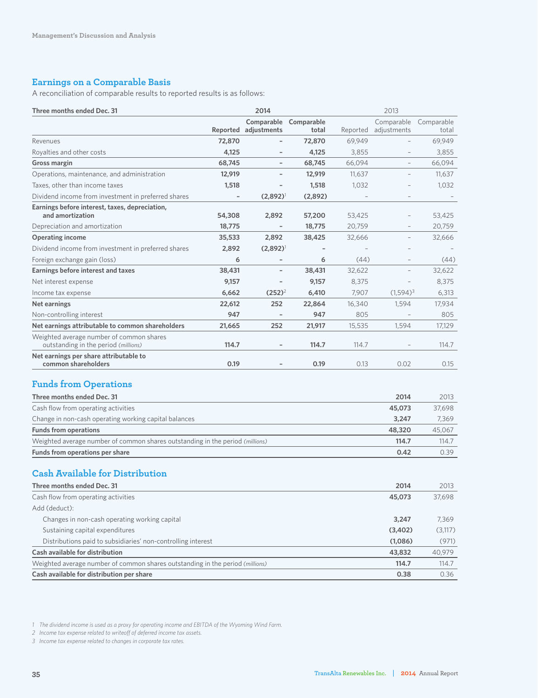### **Earnings on a Comparable Basis**

A reconciliation of comparable results to reported results is as follows:

| Three months ended Dec. 31                                                       | 2014   |                          | 2013                           |          |                           |                     |
|----------------------------------------------------------------------------------|--------|--------------------------|--------------------------------|----------|---------------------------|---------------------|
|                                                                                  |        | Reported adjustments     | Comparable Comparable<br>total | Reported | Comparable<br>adjustments | Comparable<br>total |
| Revenues                                                                         | 72,870 |                          | 72,870                         | 69,949   |                           | 69,949              |
| Royalties and other costs                                                        | 4,125  |                          | 4,125                          | 3,855    |                           | 3,855               |
| Gross margin                                                                     | 68,745 | $\overline{\phantom{a}}$ | 68,745                         | 66,094   | $\overline{\phantom{a}}$  | 66,094              |
| Operations, maintenance, and administration                                      | 12,919 |                          | 12,919                         | 11,637   | $\overline{\phantom{0}}$  | 11,637              |
| Taxes, other than income taxes                                                   | 1,518  |                          | 1,518                          | 1,032    |                           | 1,032               |
| Dividend income from investment in preferred shares                              |        | $(2,892)^{1}$            | (2,892)                        |          |                           |                     |
| Earnings before interest, taxes, depreciation,<br>and amortization               | 54,308 | 2,892                    | 57,200                         | 53,425   |                           | 53,425              |
| Depreciation and amortization                                                    | 18,775 |                          | 18,775                         | 20,759   |                           | 20,759              |
| <b>Operating income</b>                                                          | 35,533 | 2,892                    | 38,425                         | 32,666   | $\overline{\phantom{0}}$  | 32,666              |
| Dividend income from investment in preferred shares                              | 2,892  | $(2,892)^{1}$            |                                |          |                           |                     |
| Foreign exchange gain (loss)                                                     | 6      | $\overline{\phantom{a}}$ | 6                              | (44)     | $\qquad \qquad -$         | (44)                |
| Earnings before interest and taxes                                               | 38,431 | $\overline{\phantom{0}}$ | 38,431                         | 32,622   |                           | 32,622              |
| Net interest expense                                                             | 9,157  | $\qquad \qquad -$        | 9,157                          | 8,375    |                           | 8,375               |
| Income tax expense                                                               | 6,662  | $(252)^2$                | 6,410                          | 7,907    | $(1,594)^3$               | 6,313               |
| Net earnings                                                                     | 22,612 | 252                      | 22,864                         | 16,340   | 1,594                     | 17,934              |
| Non-controlling interest                                                         | 947    |                          | 947                            | 805      |                           | 805                 |
| Net earnings attributable to common shareholders                                 | 21,665 | 252                      | 21,917                         | 15,535   | 1,594                     | 17,129              |
| Weighted average number of common shares<br>outstanding in the period (millions) | 114.7  |                          | 114.7                          | 114.7    |                           | 114.7               |
| Net earnings per share attributable to<br>common shareholders                    | 0.19   |                          | 0.19                           | 0.13     | 0.02                      | 0.15                |
| <b>Funds from Operations</b>                                                     |        |                          |                                |          |                           |                     |
| Three months ended Dec. 31                                                       |        |                          |                                |          | 2014                      | 2013                |
| Cash flow from operating activities                                              |        |                          |                                |          | 45,073                    | 37,698              |
| Change in non-cash operating working capital balances                            |        |                          |                                |          | 3,247                     | 7,369               |
| <b>Funds from operations</b>                                                     |        |                          |                                |          | 48,320                    | 45,067              |
| Weighted average number of common shares outstanding in the period (millions)    |        |                          |                                |          | 114.7                     | 114.7               |
| Funds from operations per share                                                  |        |                          |                                |          | 0.42                      | 0.39                |
| <b>Cash Available for Distribution</b>                                           |        |                          |                                |          |                           |                     |
| Three months ended Dec. 31                                                       |        |                          |                                |          | 2014                      | 2013                |
| Cash flow from operating activities                                              |        |                          |                                |          | 45,073                    | 37,698              |
| Add (deduct):                                                                    |        |                          |                                |          |                           |                     |
| Changes in non-cash operating working capital                                    |        |                          |                                |          | 3,247                     | 7,369               |
| Sustaining capital expenditures                                                  |        |                          |                                |          | (3,402)                   | (3, 117)            |
| Distributions paid to subsidiaries' non-controlling interest                     |        |                          |                                |          | (1,086)                   | (971)               |
| Cash available for distribution                                                  |        |                          |                                |          | 43,832                    | 40,979              |
| Weighted average number of common shares outstanding in the period (millions)    |        |                          |                                |          | 114.7                     | 114.7               |
| Cash available for distribution per share                                        |        |                          |                                |          | 0.38                      | 0.36                |

*1 The dividend income is used as a proxy for operating income and EBITDA of the Wyoming Wind Farm.*

*2 Income tax expense related to writeoff of deferred income tax assets.*

*3 Income tax expense related to changes in corporate tax rates.*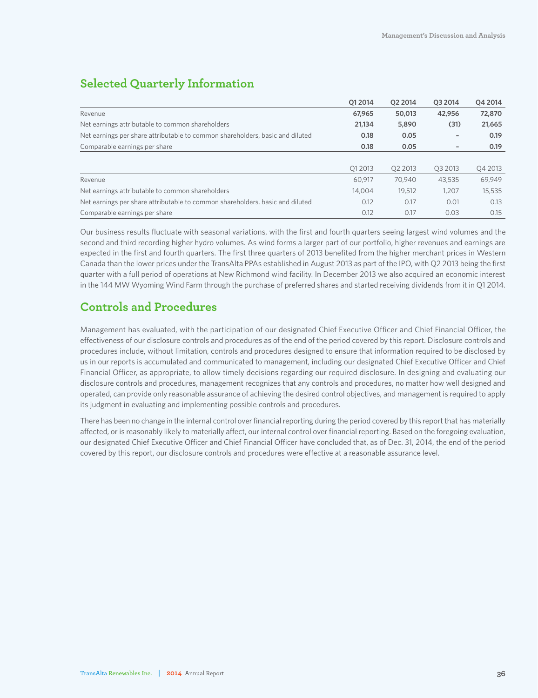### **Selected Quarterly Information**

|                                                                               | 012014  | O <sub>2</sub> 2014 | 03 2014             | Q4 2014 |
|-------------------------------------------------------------------------------|---------|---------------------|---------------------|---------|
| Revenue                                                                       | 67,965  | 50,013              | 42,956              | 72,870  |
| Net earnings attributable to common shareholders                              | 21.134  | 5,890               | (31)                | 21,665  |
| Net earnings per share attributable to common shareholders, basic and diluted | 0.18    | 0.05                |                     | 0.19    |
| Comparable earnings per share                                                 | 0.18    | 0.05                |                     | 0.19    |
|                                                                               |         |                     |                     |         |
|                                                                               | O1 2013 | O <sub>2</sub> 2013 | O <sub>3</sub> 2013 | Q4 2013 |
| Revenue                                                                       | 60.917  | 70,940              | 43.535              | 69,949  |
| Net earnings attributable to common shareholders                              | 14.004  | 19.512              | 1.207               | 15,535  |
| Net earnings per share attributable to common shareholders, basic and diluted | 0.12    | 0.17                | 0.01                | 0.13    |
| Comparable earnings per share                                                 | 0.12    | 0.17                | 0.03                | 0.15    |

Our business results fluctuate with seasonal variations, with the first and fourth quarters seeing largest wind volumes and the second and third recording higher hydro volumes. As wind forms a larger part of our portfolio, higher revenues and earnings are expected in the first and fourth quarters. The first three quarters of 2013 benefited from the higher merchant prices in Western Canada than the lower prices under the TransAlta PPAs established in August 2013 as part of the IPO, with Q2 2013 being the first quarter with a full period of operations at New Richmond wind facility. In December 2013 we also acquired an economic interest in the 144 MW Wyoming Wind Farm through the purchase of preferred shares and started receiving dividends from it in Q1 2014.

### **Controls and Procedures**

Management has evaluated, with the participation of our designated Chief Executive Officer and Chief Financial Officer, the effectiveness of our disclosure controls and procedures as of the end of the period covered by this report. Disclosure controls and procedures include, without limitation, controls and procedures designed to ensure that information required to be disclosed by us in our reports is accumulated and communicated to management, including our designated Chief Executive Officer and Chief Financial Officer, as appropriate, to allow timely decisions regarding our required disclosure. In designing and evaluating our disclosure controls and procedures, management recognizes that any controls and procedures, no matter how well designed and operated, can provide only reasonable assurance of achieving the desired control objectives, and management is required to apply its judgment in evaluating and implementing possible controls and procedures.

There has been no change in the internal control over financial reporting during the period covered by this report that has materially affected, or is reasonably likely to materially affect, our internal control over financial reporting. Based on the foregoing evaluation, our designated Chief Executive Officer and Chief Financial Officer have concluded that, as of Dec. 31, 2014, the end of the period covered by this report, our disclosure controls and procedures were effective at a reasonable assurance level.